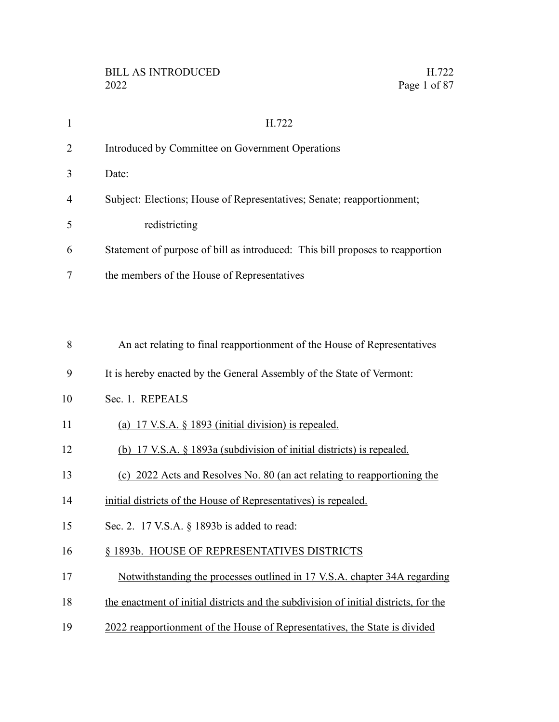| $\mathbf{1}$   | H.722                                                                                |
|----------------|--------------------------------------------------------------------------------------|
| $\overline{2}$ | Introduced by Committee on Government Operations                                     |
| 3              | Date:                                                                                |
| 4              | Subject: Elections; House of Representatives; Senate; reapportionment;               |
| 5              | redistricting                                                                        |
| 6              | Statement of purpose of bill as introduced: This bill proposes to reapportion        |
| 7              | the members of the House of Representatives                                          |
|                |                                                                                      |
|                |                                                                                      |
| 8              | An act relating to final reapportionment of the House of Representatives             |
| 9              | It is hereby enacted by the General Assembly of the State of Vermont:                |
| 10             | Sec. 1. REPEALS                                                                      |
| 11             | (a) 17 V.S.A. § 1893 (initial division) is repealed.                                 |
| 12             | (b) 17 V.S.A. § 1893a (subdivision of initial districts) is repealed.                |
| 13             | (c) 2022 Acts and Resolves No. 80 (an act relating to reapportioning the             |
| 14             | initial districts of the House of Representatives) is repealed.                      |
| 15             | Sec. 2. 17 V.S.A. § 1893b is added to read:                                          |
| 16             | § 1893b. HOUSE OF REPRESENTATIVES DISTRICTS                                          |
| 17             | Notwithstanding the processes outlined in 17 V.S.A. chapter 34A regarding            |
| 18             | the enactment of initial districts and the subdivision of initial districts, for the |
| 19             | 2022 reapportionment of the House of Representatives, the State is divided           |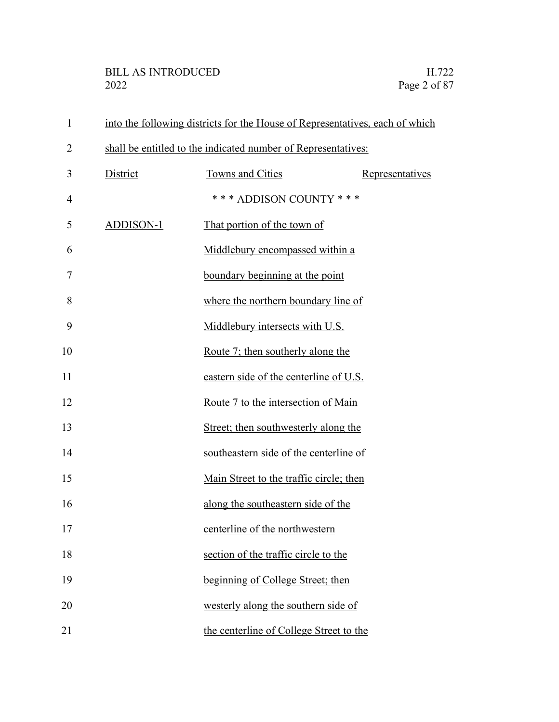| $\mathbf{1}$   |                                                               | into the following districts for the House of Representatives, each of which |                 |  |
|----------------|---------------------------------------------------------------|------------------------------------------------------------------------------|-----------------|--|
| $\overline{2}$ | shall be entitled to the indicated number of Representatives: |                                                                              |                 |  |
| 3              | District                                                      | Towns and Cities                                                             | Representatives |  |
| $\overline{4}$ |                                                               | *** ADDISON COUNTY ***                                                       |                 |  |
| 5              | <b>ADDISON-1</b>                                              | That portion of the town of                                                  |                 |  |
| 6              |                                                               | Middlebury encompassed within a                                              |                 |  |
| 7              |                                                               | boundary beginning at the point                                              |                 |  |
| 8              |                                                               | where the northern boundary line of                                          |                 |  |
| 9              |                                                               | Middlebury intersects with U.S.                                              |                 |  |
| 10             |                                                               | Route 7; then southerly along the                                            |                 |  |
| 11             |                                                               | eastern side of the centerline of U.S.                                       |                 |  |
| 12             |                                                               | Route 7 to the intersection of Main                                          |                 |  |
| 13             |                                                               | Street; then southwesterly along the                                         |                 |  |
| 14             |                                                               | southeastern side of the centerline of                                       |                 |  |
| 15             |                                                               | Main Street to the traffic circle; then                                      |                 |  |
| 16             |                                                               | along the southeastern side of the                                           |                 |  |
| 17             |                                                               | centerline of the northwestern                                               |                 |  |
| 18             |                                                               | section of the traffic circle to the                                         |                 |  |
| 19             |                                                               | beginning of College Street; then                                            |                 |  |
| 20             |                                                               | westerly along the southern side of                                          |                 |  |
| 21             |                                                               | the centerline of College Street to the                                      |                 |  |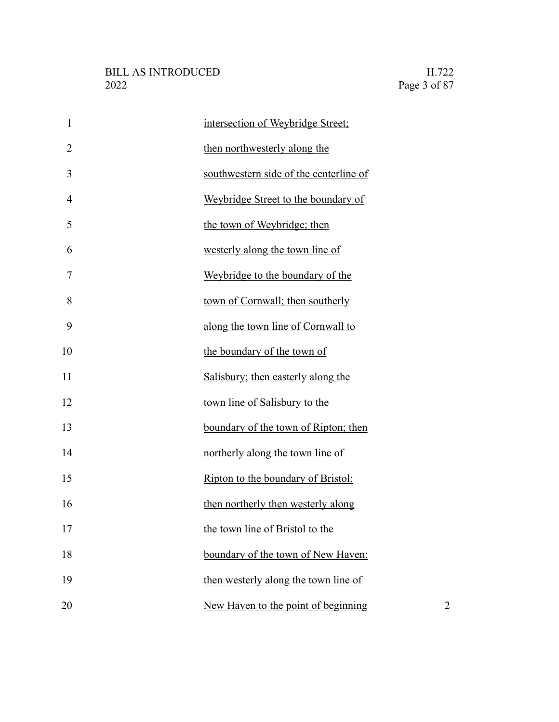| $\mathbf{1}$   | intersection of Weybridge Street;      |                |
|----------------|----------------------------------------|----------------|
| $\overline{2}$ | then northwesterly along the           |                |
| 3              | southwestern side of the centerline of |                |
| $\overline{4}$ | Weybridge Street to the boundary of    |                |
| 5              | the town of Weybridge; then            |                |
| 6              | westerly along the town line of        |                |
| 7              | Weybridge to the boundary of the       |                |
| 8              | town of Cornwall; then southerly       |                |
| 9              | along the town line of Cornwall to     |                |
| 10             | the boundary of the town of            |                |
| 11             | Salisbury; then easterly along the     |                |
| 12             | town line of Salisbury to the          |                |
| 13             | boundary of the town of Ripton; then   |                |
| 14             | northerly along the town line of       |                |
| 15             | Ripton to the boundary of Bristol;     |                |
| 16             | then northerly then westerly along     |                |
| 17             | the town line of Bristol to the        |                |
| 18             | boundary of the town of New Haven;     |                |
| 19             | then westerly along the town line of   |                |
| 20             | New Haven to the point of beginning    | $\overline{2}$ |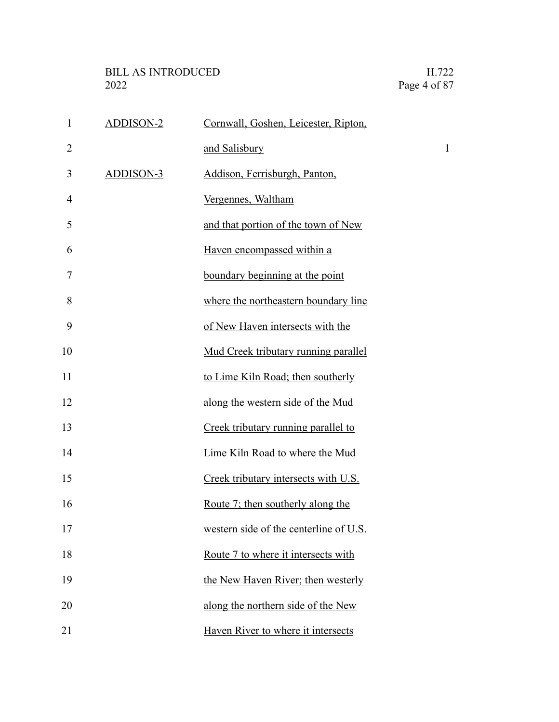| $\mathbf{1}$   | <b>ADDISON-2</b> | Cornwall, Goshen, Leicester, Ripton,   |              |
|----------------|------------------|----------------------------------------|--------------|
| $\overline{2}$ |                  | and Salisbury                          | $\mathbf{1}$ |
| 3              | <b>ADDISON-3</b> | Addison, Ferrisburgh, Panton,          |              |
| 4              |                  | Vergennes, Waltham                     |              |
| 5              |                  | and that portion of the town of New    |              |
| 6              |                  | Haven encompassed within a             |              |
| 7              |                  | boundary beginning at the point        |              |
| 8              |                  | where the northeastern boundary line   |              |
| 9              |                  | of New Haven intersects with the       |              |
| 10             |                  | Mud Creek tributary running parallel   |              |
| 11             |                  | to Lime Kiln Road; then southerly      |              |
| 12             |                  | along the western side of the Mud      |              |
| 13             |                  | Creek tributary running parallel to    |              |
| 14             |                  | Lime Kiln Road to where the Mud        |              |
| 15             |                  | Creek tributary intersects with U.S.   |              |
| 16             |                  | Route 7; then southerly along the      |              |
| 17             |                  | western side of the centerline of U.S. |              |
| 18             |                  | Route 7 to where it intersects with    |              |
| 19             |                  | the New Haven River; then westerly     |              |
| 20             |                  | along the northern side of the New     |              |
| 21             |                  | Haven River to where it intersects     |              |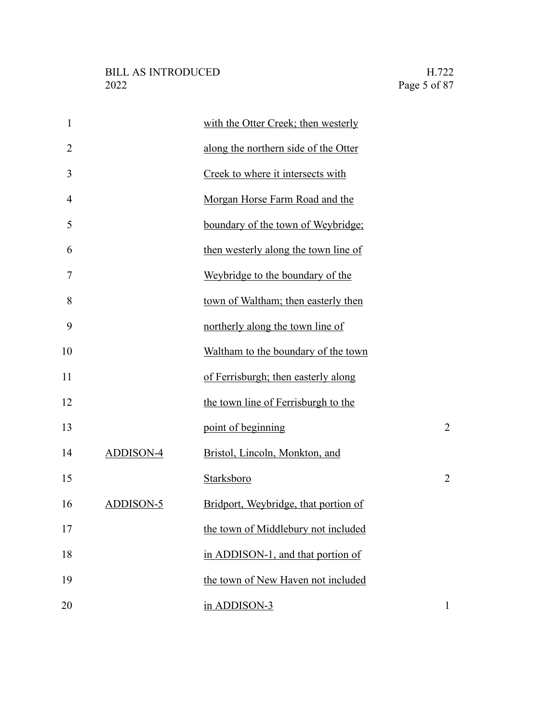| $\mathbf{1}$ |                  | with the Otter Creek; then westerly  |                |
|--------------|------------------|--------------------------------------|----------------|
| 2            |                  | along the northern side of the Otter |                |
| 3            |                  | Creek to where it intersects with    |                |
| 4            |                  | Morgan Horse Farm Road and the       |                |
| 5            |                  | boundary of the town of Weybridge;   |                |
| 6            |                  | then westerly along the town line of |                |
| 7            |                  | Weybridge to the boundary of the     |                |
| 8            |                  | town of Waltham; then easterly then  |                |
| 9            |                  | northerly along the town line of     |                |
| 10           |                  | Waltham to the boundary of the town  |                |
| 11           |                  | of Ferrisburgh; then easterly along  |                |
| 12           |                  | the town line of Ferrisburgh to the  |                |
| 13           |                  | point of beginning                   | $\overline{2}$ |
| 14           | <b>ADDISON-4</b> | Bristol, Lincoln, Monkton, and       |                |
| 15           |                  | Starksboro                           | $\overline{2}$ |
| 16           | ADDISON-5        | Bridport, Weybridge, that portion of |                |
| 17           |                  | the town of Middlebury not included  |                |
| 18           |                  | in ADDISON-1, and that portion of    |                |
| 19           |                  | the town of New Haven not included   |                |
| 20           |                  | in ADDISON-3                         |                |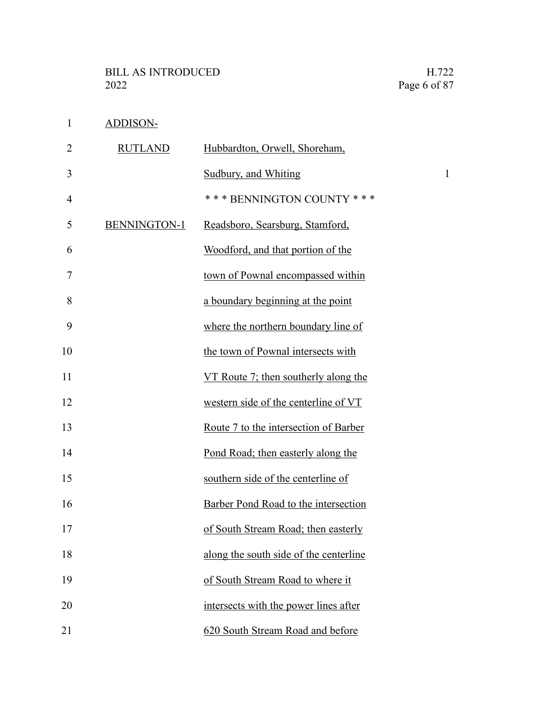ADDISON-1

| $\overline{2}$ | <b>RUTLAND</b> | Hubbardton, Orwell, Shoreham,          |              |
|----------------|----------------|----------------------------------------|--------------|
| 3              |                | Sudbury, and Whiting                   | $\mathbf{1}$ |
| $\overline{4}$ |                | *** BENNINGTON COUNTY ***              |              |
| 5              | BENNINGTON-1   | Readsboro, Searsburg, Stamford,        |              |
| 6              |                | Woodford, and that portion of the      |              |
| 7              |                | town of Pownal encompassed within      |              |
| 8              |                | a boundary beginning at the point      |              |
| 9              |                | where the northern boundary line of    |              |
| 10             |                | the town of Pownal intersects with     |              |
| 11             |                | VT Route 7; then southerly along the   |              |
| 12             |                | western side of the centerline of VT   |              |
| 13             |                | Route 7 to the intersection of Barber  |              |
| 14             |                | Pond Road; then easterly along the     |              |
| 15             |                | southern side of the centerline of     |              |
| 16             |                | Barber Pond Road to the intersection   |              |
| 17             |                | of South Stream Road; then easterly    |              |
| 18             |                | along the south side of the centerline |              |
| 19             |                | of South Stream Road to where it       |              |
| 20             |                | intersects with the power lines after  |              |
| 21             |                | 620 South Stream Road and before       |              |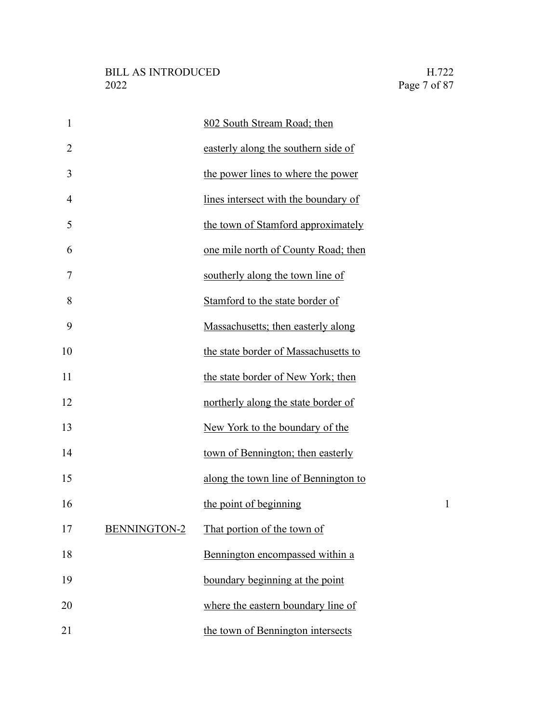| $\mathbf{1}$   |              | 802 South Stream Road; then          |              |
|----------------|--------------|--------------------------------------|--------------|
| $\overline{2}$ |              | easterly along the southern side of  |              |
| 3              |              | the power lines to where the power   |              |
| $\overline{4}$ |              | lines intersect with the boundary of |              |
| 5              |              | the town of Stamford approximately   |              |
| 6              |              | one mile north of County Road; then  |              |
| 7              |              | southerly along the town line of     |              |
| 8              |              | Stamford to the state border of      |              |
| 9              |              | Massachusetts; then easterly along   |              |
| 10             |              | the state border of Massachusetts to |              |
| 11             |              | the state border of New York; then   |              |
| 12             |              | northerly along the state border of  |              |
| 13             |              | New York to the boundary of the      |              |
| 14             |              | town of Bennington; then easterly    |              |
| 15             |              | along the town line of Bennington to |              |
| 16             |              | the point of beginning               | $\mathbf{1}$ |
| 17             | BENNINGTON-2 | That portion of the town of          |              |
| 18             |              | Bennington encompassed within a      |              |
| 19             |              | boundary beginning at the point      |              |
| 20             |              | where the eastern boundary line of   |              |
| 21             |              | the town of Bennington intersects    |              |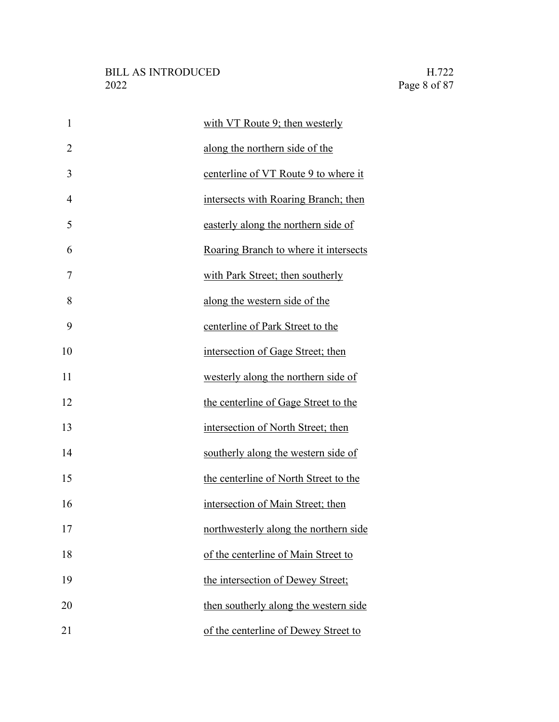| $\mathbf{1}$   | with VT Route 9; then westerly        |
|----------------|---------------------------------------|
| $\overline{2}$ | along the northern side of the        |
| 3              | centerline of VT Route 9 to where it  |
| $\overline{4}$ | intersects with Roaring Branch; then  |
| 5              | easterly along the northern side of   |
| 6              | Roaring Branch to where it intersects |
| 7              | with Park Street; then southerly      |
| 8              | along the western side of the         |
| 9              | centerline of Park Street to the      |
| 10             | intersection of Gage Street; then     |
| 11             | westerly along the northern side of   |
| 12             | the centerline of Gage Street to the  |
| 13             | intersection of North Street; then    |
| 14             | southerly along the western side of   |
| 15             | the centerline of North Street to the |
| 16             | intersection of Main Street; then     |
| 17             | northwesterly along the northern side |
| 18             | of the centerline of Main Street to   |
| 19             | the intersection of Dewey Street;     |
| 20             | then southerly along the western side |
| 21             | of the centerline of Dewey Street to  |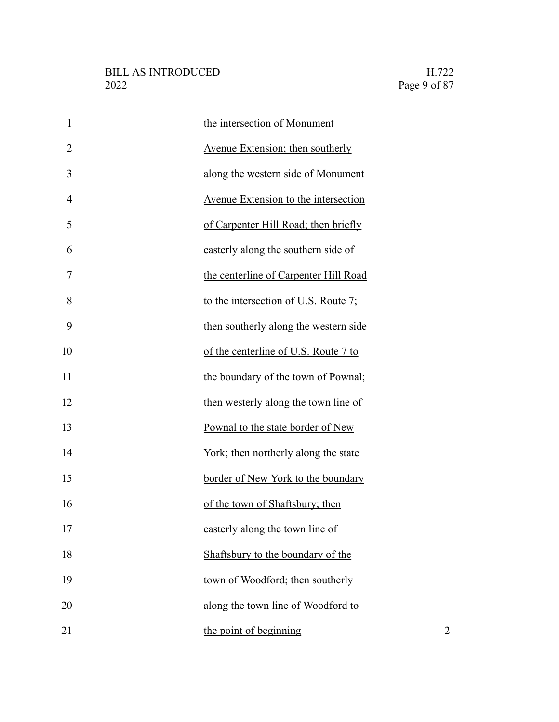| $\mathbf{1}$   | the intersection of Monument          |
|----------------|---------------------------------------|
| $\overline{2}$ | Avenue Extension; then southerly      |
| 3              | along the western side of Monument    |
| $\overline{4}$ | Avenue Extension to the intersection  |
| 5              | of Carpenter Hill Road; then briefly  |
| 6              | easterly along the southern side of   |
| 7              | the centerline of Carpenter Hill Road |
| 8              | to the intersection of U.S. Route 7;  |
| 9              | then southerly along the western side |
| 10             | of the centerline of U.S. Route 7 to  |
| 11             | the boundary of the town of Pownal;   |
| 12             | then westerly along the town line of  |
| 13             | Pownal to the state border of New     |
| 14             | York; then northerly along the state  |
| 15             | border of New York to the boundary    |
| 16             | of the town of Shaftsbury; then       |
| 17             | easterly along the town line of       |
| 18             | Shaftsbury to the boundary of the     |
| 19             | town of Woodford; then southerly      |
| 20             | along the town line of Woodford to    |
| 21             | the point of beginning<br>2           |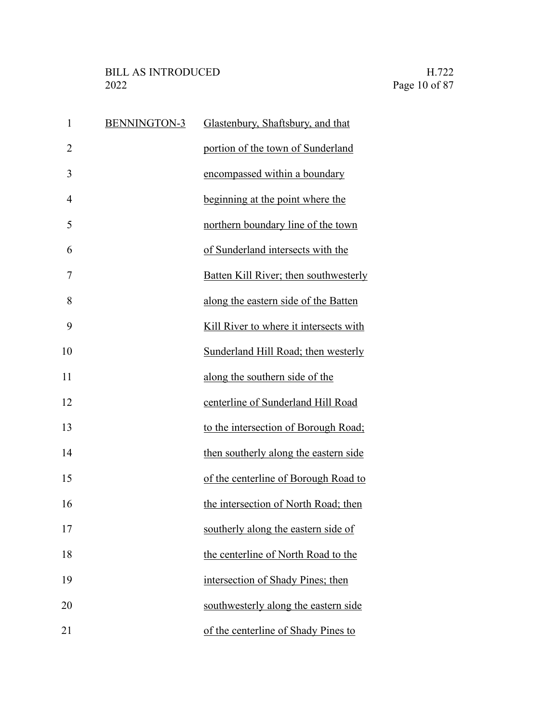| $\mathbf{1}$   | BENNINGTON-3 | Glastenbury, Shaftsbury, and that      |
|----------------|--------------|----------------------------------------|
| $\overline{2}$ |              | portion of the town of Sunderland      |
| 3              |              | encompassed within a boundary          |
| $\overline{4}$ |              | beginning at the point where the       |
| 5              |              | northern boundary line of the town     |
| 6              |              | of Sunderland intersects with the      |
| 7              |              | Batten Kill River; then southwesterly  |
| 8              |              | along the eastern side of the Batten   |
| 9              |              | Kill River to where it intersects with |
| 10             |              | Sunderland Hill Road; then westerly    |
| 11             |              | along the southern side of the         |
| 12             |              | centerline of Sunderland Hill Road     |
| 13             |              | to the intersection of Borough Road;   |
| 14             |              | then southerly along the eastern side  |
| 15             |              | of the centerline of Borough Road to   |
| 16             |              | the intersection of North Road; then   |
| 17             |              | southerly along the eastern side of    |
| 18             |              | the centerline of North Road to the    |
| 19             |              | intersection of Shady Pines; then      |
| 20             |              | southwesterly along the eastern side   |
| 21             |              | of the centerline of Shady Pines to    |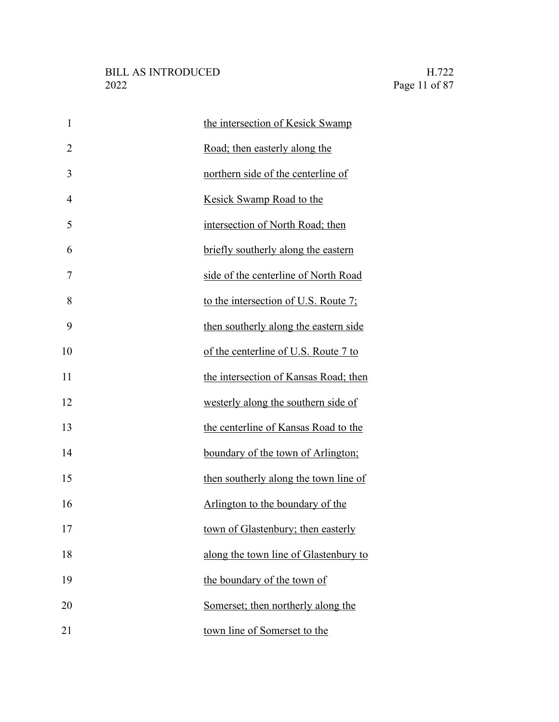| $\mathbf{1}$   | the intersection of Kesick Swamp      |
|----------------|---------------------------------------|
| $\overline{2}$ | Road; then easterly along the         |
| 3              | northern side of the centerline of    |
| 4              | Kesick Swamp Road to the              |
| 5              | intersection of North Road; then      |
| 6              | briefly southerly along the eastern   |
| 7              | side of the centerline of North Road  |
| 8              | to the intersection of U.S. Route 7;  |
| 9              | then southerly along the eastern side |
| 10             | of the centerline of U.S. Route 7 to  |
| 11             | the intersection of Kansas Road; then |
| 12             | westerly along the southern side of   |
| 13             | the centerline of Kansas Road to the  |
| 14             | boundary of the town of Arlington;    |
| 15             | then southerly along the town line of |
| 16             | Arlington to the boundary of the      |
| 17             | town of Glastenbury; then easterly    |
| 18             | along the town line of Glastenbury to |
| 19             | the boundary of the town of           |
| 20             | Somerset; then northerly along the    |
| 21             | town line of Somerset to the          |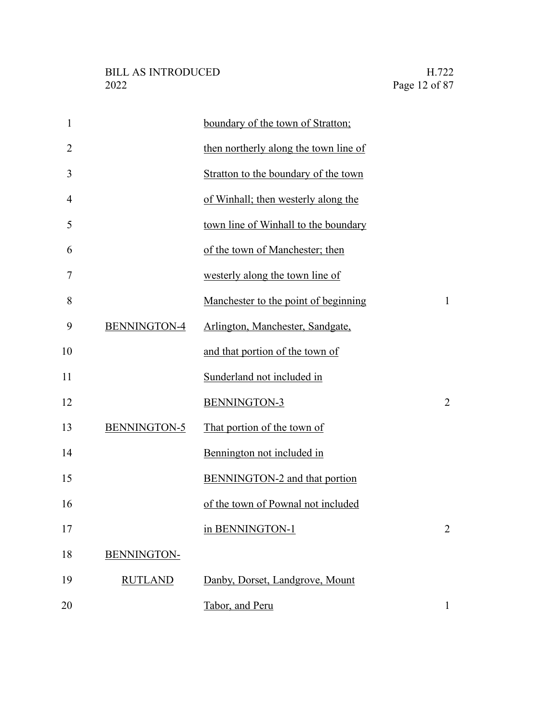| $\mathbf{1}$   |                     | boundary of the town of Stratton;     |                |
|----------------|---------------------|---------------------------------------|----------------|
| $\overline{2}$ |                     | then northerly along the town line of |                |
| 3              |                     | Stratton to the boundary of the town  |                |
| 4              |                     | of Winhall; then westerly along the   |                |
| 5              |                     | town line of Winhall to the boundary  |                |
| 6              |                     | of the town of Manchester; then       |                |
| 7              |                     | westerly along the town line of       |                |
| 8              |                     | Manchester to the point of beginning  | $\mathbf{1}$   |
| 9              | <b>BENNINGTON-4</b> | Arlington, Manchester, Sandgate,      |                |
| 10             |                     | and that portion of the town of       |                |
| 11             |                     | Sunderland not included in            |                |
| 12             |                     | BENNINGTON-3                          | $\overline{2}$ |
| 13             | BENNINGTON-5        | That portion of the town of           |                |
| 14             |                     | Bennington not included in            |                |
| 15             |                     | BENNINGTON-2 and that portion         |                |
| 16             |                     | of the town of Pownal not included    |                |
| 17             |                     | in BENNINGTON-1                       | 2              |
| 18             | BENNINGTON-         |                                       |                |
| 19             | <b>RUTLAND</b>      | Danby, Dorset, Landgrove, Mount       |                |
| 20             |                     | Tabor, and Peru                       | $\mathbf{1}$   |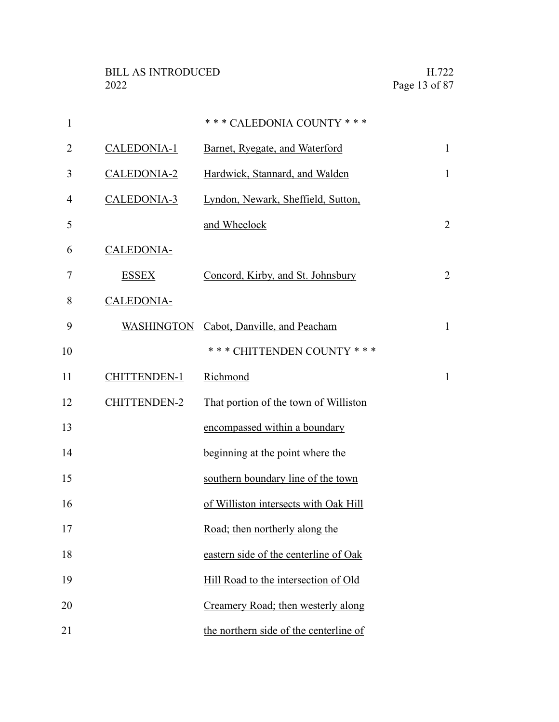| $\mathbf{1}$ |                     | *** CALEDONIA COUNTY ***                |                |
|--------------|---------------------|-----------------------------------------|----------------|
| 2            | CALEDONIA-1         | Barnet, Ryegate, and Waterford          | $\mathbf{1}$   |
| 3            | CALEDONIA-2         | Hardwick, Stannard, and Walden          | $\mathbf{1}$   |
| 4            | CALEDONIA-3         | Lyndon, Newark, Sheffield, Sutton,      |                |
| 5            |                     | and Wheelock                            | $\overline{2}$ |
| 6            | <b>CALEDONIA-</b>   |                                         |                |
| 7            | <b>ESSEX</b>        | Concord, Kirby, and St. Johnsbury       | $\overline{2}$ |
| 8            | CALEDONIA-          |                                         |                |
| 9            |                     | WASHINGTON Cabot, Danville, and Peacham | $\mathbf{1}$   |
| 10           |                     | *** CHITTENDEN COUNTY ***               |                |
| 11           | <b>CHITTENDEN-1</b> | Richmond                                | $\mathbf{1}$   |
| 12           | <b>CHITTENDEN-2</b> | That portion of the town of Williston   |                |
| 13           |                     | encompassed within a boundary           |                |
| 14           |                     | beginning at the point where the        |                |
| 15           |                     | southern boundary line of the town      |                |
| 16           |                     | of Williston intersects with Oak Hill   |                |
| 17           |                     | Road; then northerly along the          |                |
| 18           |                     | eastern side of the centerline of Oak   |                |
| 19           |                     | Hill Road to the intersection of Old    |                |
| 20           |                     | Creamery Road; then westerly along      |                |
| 21           |                     | the northern side of the centerline of  |                |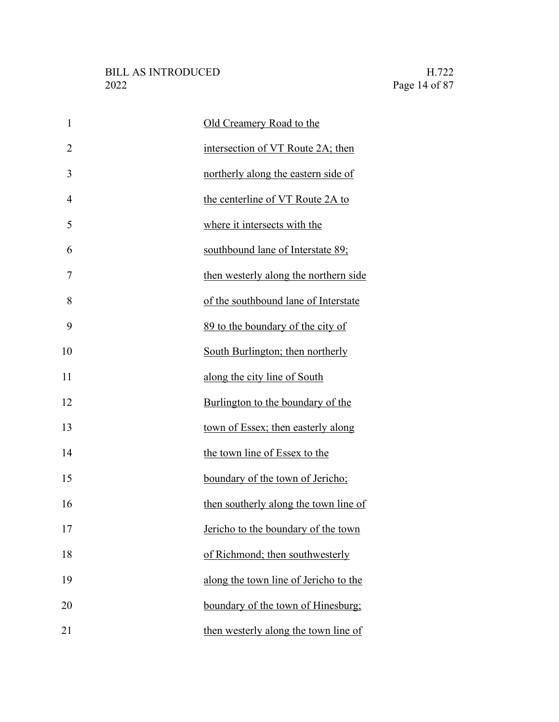| $\mathbf{1}$   | Old Creamery Road to the              |
|----------------|---------------------------------------|
| $\overline{2}$ | intersection of VT Route 2A; then     |
| 3              | northerly along the eastern side of   |
| $\overline{4}$ | the centerline of VT Route 2A to      |
| 5              | where it intersects with the          |
| 6              | southbound lane of Interstate 89;     |
| 7              | then westerly along the northern side |
| 8              | of the southbound lane of Interstate  |
| 9              | 89 to the boundary of the city of     |
| 10             | South Burlington; then northerly      |
| 11             | along the city line of South          |
| 12             | Burlington to the boundary of the     |
| 13             | town of Essex; then easterly along    |
| 14             | the town line of Essex to the         |
| 15             | boundary of the town of Jericho;      |
| 16             | then southerly along the town line of |
| 17             | Jericho to the boundary of the town   |
| 18             | of Richmond; then southwesterly       |
| 19             | along the town line of Jericho to the |
| 20             | boundary of the town of Hinesburg;    |
| 21             | then westerly along the town line of  |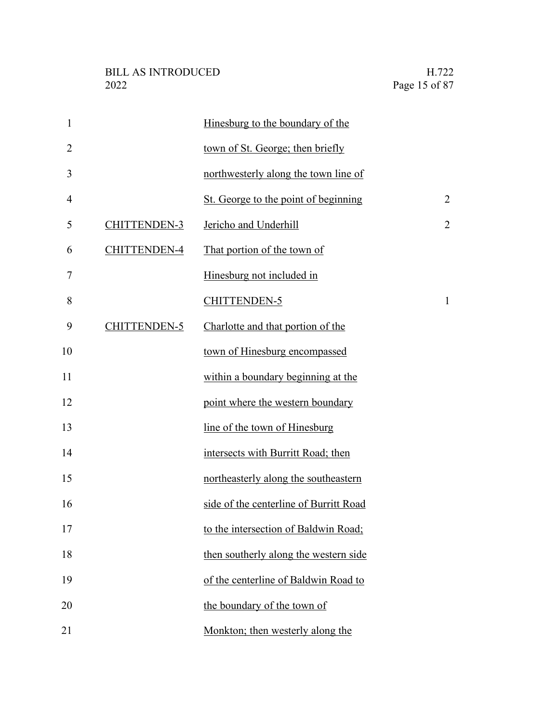| $\mathbf{1}$   |                     | Hinesburg to the boundary of the       |                |
|----------------|---------------------|----------------------------------------|----------------|
| $\overline{2}$ |                     | town of St. George; then briefly       |                |
| 3              |                     | northwesterly along the town line of   |                |
| 4              |                     | St. George to the point of beginning   | $\overline{2}$ |
| 5              | <b>CHITTENDEN-3</b> | Jericho and Underhill                  | $\overline{2}$ |
| 6              | <b>CHITTENDEN-4</b> | That portion of the town of            |                |
| 7              |                     | Hinesburg not included in              |                |
| 8              |                     | <b>CHITTENDEN-5</b>                    | $\mathbf{1}$   |
| 9              | <b>CHITTENDEN-5</b> | Charlotte and that portion of the      |                |
| 10             |                     | town of Hinesburg encompassed          |                |
| 11             |                     | within a boundary beginning at the     |                |
| 12             |                     | point where the western boundary       |                |
| 13             |                     | line of the town of Hinesburg          |                |
| 14             |                     | intersects with Burritt Road; then     |                |
| 15             |                     | northeasterly along the southeastern   |                |
| 16             |                     | side of the centerline of Burritt Road |                |
| 17             |                     | to the intersection of Baldwin Road;   |                |
| 18             |                     | then southerly along the western side  |                |
| 19             |                     | of the centerline of Baldwin Road to   |                |
| 20             |                     | the boundary of the town of            |                |
| 21             |                     | Monkton; then westerly along the       |                |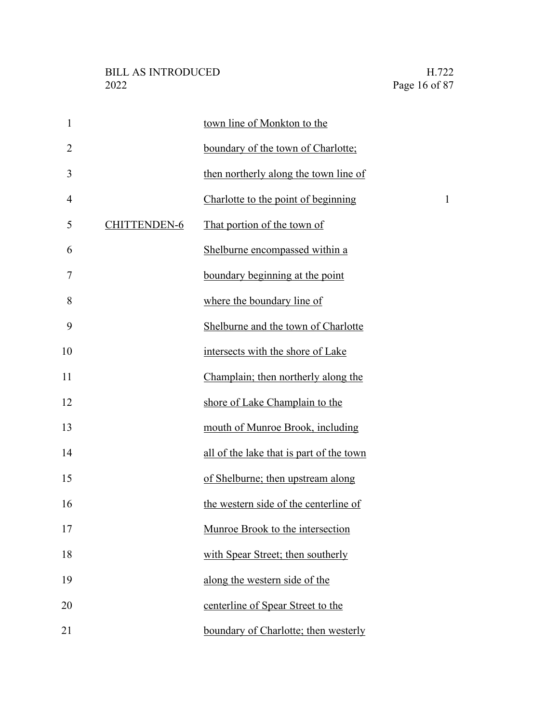| $\mathbf{1}$   |                     | town line of Monkton to the              |              |
|----------------|---------------------|------------------------------------------|--------------|
| $\overline{2}$ |                     | boundary of the town of Charlotte;       |              |
| 3              |                     | then northerly along the town line of    |              |
| $\overline{4}$ |                     | Charlotte to the point of beginning      | $\mathbf{1}$ |
| 5              | <b>CHITTENDEN-6</b> | That portion of the town of              |              |
| 6              |                     | Shelburne encompassed within a           |              |
| 7              |                     | boundary beginning at the point          |              |
| 8              |                     | where the boundary line of               |              |
| 9              |                     | Shelburne and the town of Charlotte      |              |
| 10             |                     | intersects with the shore of Lake        |              |
| 11             |                     | Champlain; then northerly along the      |              |
| 12             |                     | shore of Lake Champlain to the           |              |
| 13             |                     | mouth of Munroe Brook, including         |              |
| 14             |                     | all of the lake that is part of the town |              |
| 15             |                     | of Shelburne; then upstream along        |              |
| 16             |                     | the western side of the centerline of    |              |
| 17             |                     | Munroe Brook to the intersection         |              |
| 18             |                     | with Spear Street; then southerly        |              |
| 19             |                     | along the western side of the            |              |
| 20             |                     | centerline of Spear Street to the        |              |
| 21             |                     | boundary of Charlotte; then westerly     |              |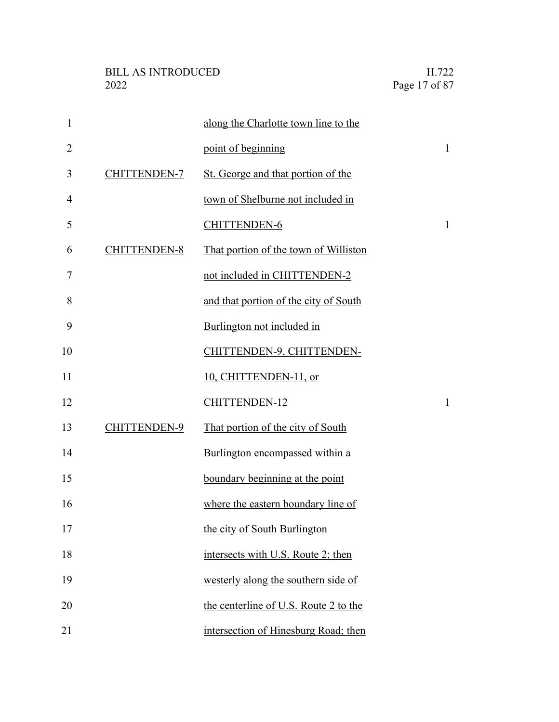| $\mathbf{1}$   |                     | along the Charlotte town line to the  |              |
|----------------|---------------------|---------------------------------------|--------------|
| $\overline{2}$ |                     | point of beginning                    | $\mathbf{1}$ |
| 3              | CHITTENDEN-7        | St. George and that portion of the    |              |
| $\overline{4}$ |                     | town of Shelburne not included in     |              |
| 5              |                     | CHITTENDEN-6                          | $\mathbf{1}$ |
| 6              | <b>CHITTENDEN-8</b> | That portion of the town of Williston |              |
| 7              |                     | not included in CHITTENDEN-2          |              |
| 8              |                     | and that portion of the city of South |              |
| 9              |                     | Burlington not included in            |              |
| 10             |                     | CHITTENDEN-9, CHITTENDEN-             |              |
| 11             |                     | 10, CHITTENDEN-11, or                 |              |
| 12             |                     | CHITTENDEN-12                         | 1            |
| 13             | <b>CHITTENDEN-9</b> | That portion of the city of South     |              |
| 14             |                     | Burlington encompassed within a       |              |
| 15             |                     | boundary beginning at the point       |              |
| 16             |                     | where the eastern boundary line of    |              |
| 17             |                     | the city of South Burlington          |              |
| 18             |                     | intersects with U.S. Route 2; then    |              |
| 19             |                     | westerly along the southern side of   |              |
| 20             |                     | the centerline of U.S. Route 2 to the |              |
| 21             |                     | intersection of Hinesburg Road; then  |              |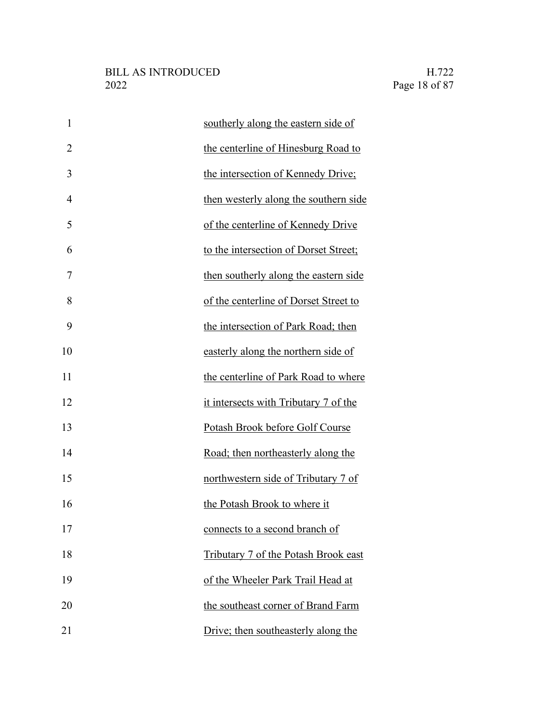| $\mathbf{1}$   | southerly along the eastern side of   |
|----------------|---------------------------------------|
| $\overline{2}$ | the centerline of Hinesburg Road to   |
| 3              | the intersection of Kennedy Drive;    |
| $\overline{4}$ | then westerly along the southern side |
| 5              | of the centerline of Kennedy Drive    |
| 6              | to the intersection of Dorset Street; |
| 7              | then southerly along the eastern side |
| 8              | of the centerline of Dorset Street to |
| 9              | the intersection of Park Road; then   |
| 10             | easterly along the northern side of   |
| 11             | the centerline of Park Road to where  |
| 12             | it intersects with Tributary 7 of the |
| 13             | Potash Brook before Golf Course       |
| 14             | Road; then northeasterly along the    |
| 15             | northwestern side of Tributary 7 of   |
| 16             | the Potash Brook to where it          |
| 17             | connects to a second branch of        |
| 18             | Tributary 7 of the Potash Brook east  |
| 19             | of the Wheeler Park Trail Head at     |
| 20             | the southeast corner of Brand Farm    |
| 21             | Drive; then southeasterly along the   |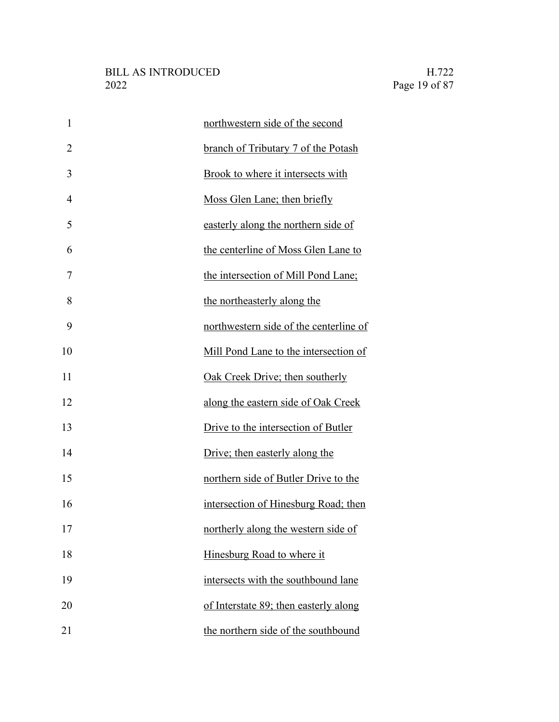| $\mathbf{1}$   | northwestern side of the second        |
|----------------|----------------------------------------|
| $\overline{2}$ | branch of Tributary 7 of the Potash    |
| 3              | Brook to where it intersects with      |
| 4              | Moss Glen Lane; then briefly           |
| 5              | easterly along the northern side of    |
| 6              | the centerline of Moss Glen Lane to    |
| 7              | the intersection of Mill Pond Lane;    |
| 8              | the northeasterly along the            |
| 9              | northwestern side of the centerline of |
| 10             | Mill Pond Lane to the intersection of  |
| 11             | Oak Creek Drive; then southerly        |
| 12             | along the eastern side of Oak Creek    |
| 13             | Drive to the intersection of Butler    |
| 14             | Drive; then easterly along the         |
| 15             | northern side of Butler Drive to the   |
| 16             | intersection of Hinesburg Road; then   |
| 17             | northerly along the western side of    |
| 18             | Hinesburg Road to where it             |
| 19             | intersects with the southbound lane    |
| 20             | of Interstate 89; then easterly along  |
| 21             | the northern side of the southbound    |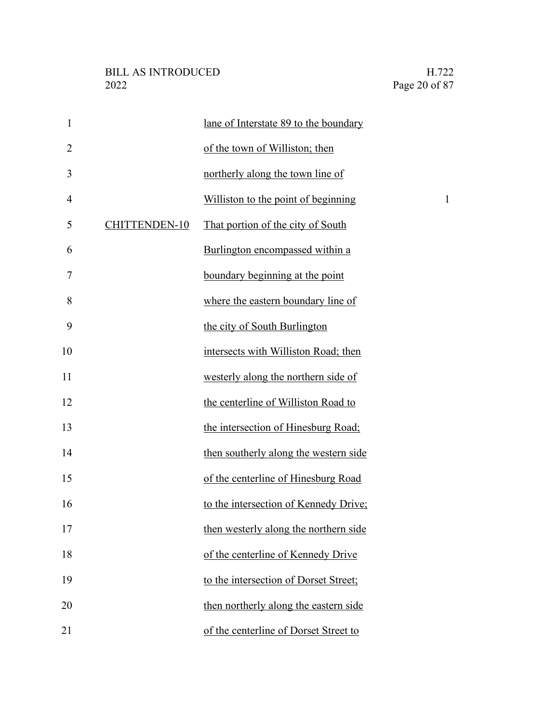| $\mathbf{1}$   |                      | lane of Interstate 89 to the boundary |              |
|----------------|----------------------|---------------------------------------|--------------|
| $\overline{2}$ |                      | of the town of Williston; then        |              |
| 3              |                      | northerly along the town line of      |              |
| $\overline{4}$ |                      | Williston to the point of beginning   | $\mathbf{1}$ |
| 5              | <b>CHITTENDEN-10</b> | That portion of the city of South     |              |
| 6              |                      | Burlington encompassed within a       |              |
| 7              |                      | boundary beginning at the point       |              |
| 8              |                      | where the eastern boundary line of    |              |
| 9              |                      | the city of South Burlington          |              |
| 10             |                      | intersects with Williston Road; then  |              |
| 11             |                      | westerly along the northern side of   |              |
| 12             |                      | the centerline of Williston Road to   |              |
| 13             |                      | the intersection of Hinesburg Road;   |              |
| 14             |                      | then southerly along the western side |              |
| 15             |                      | of the centerline of Hinesburg Road   |              |
| 16             |                      | to the intersection of Kennedy Drive; |              |
| 17             |                      | then westerly along the northern side |              |
| 18             |                      | of the centerline of Kennedy Drive    |              |
| 19             |                      | to the intersection of Dorset Street; |              |
| 20             |                      | then northerly along the eastern side |              |
| 21             |                      | of the centerline of Dorset Street to |              |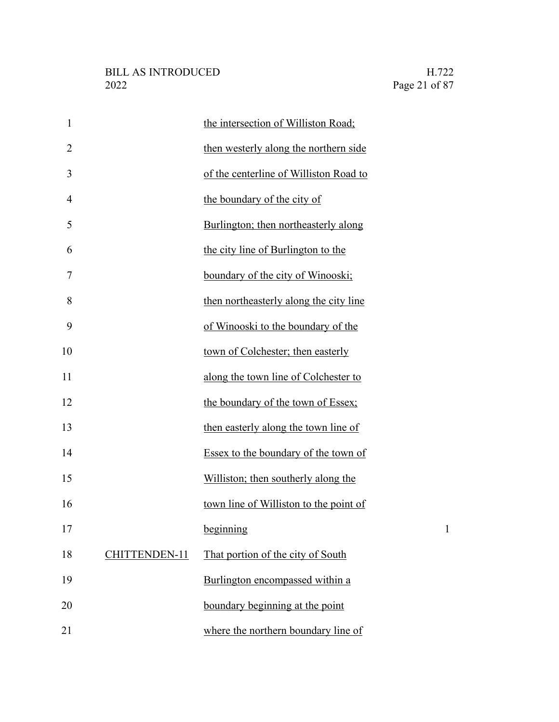| $\mathbf{1}$   |               | the intersection of Williston Road;    |              |
|----------------|---------------|----------------------------------------|--------------|
| $\overline{2}$ |               | then westerly along the northern side  |              |
| 3              |               | of the centerline of Williston Road to |              |
| $\overline{4}$ |               | the boundary of the city of            |              |
| 5              |               | Burlington; then northeasterly along   |              |
| 6              |               | the city line of Burlington to the     |              |
| 7              |               | boundary of the city of Winooski;      |              |
| 8              |               | then northeasterly along the city line |              |
| 9              |               | of Winooski to the boundary of the     |              |
| 10             |               | town of Colchester; then easterly      |              |
| 11             |               | along the town line of Colchester to   |              |
| 12             |               | the boundary of the town of Essex;     |              |
| 13             |               | then easterly along the town line of   |              |
| 14             |               | Essex to the boundary of the town of   |              |
| 15             |               | Williston; then southerly along the    |              |
| 16             |               | town line of Williston to the point of |              |
| 17             |               | beginning                              | $\mathbf{1}$ |
| 18             | CHITTENDEN-11 | That portion of the city of South      |              |
| 19             |               | Burlington encompassed within a        |              |
| 20             |               | boundary beginning at the point        |              |
| 21             |               | where the northern boundary line of    |              |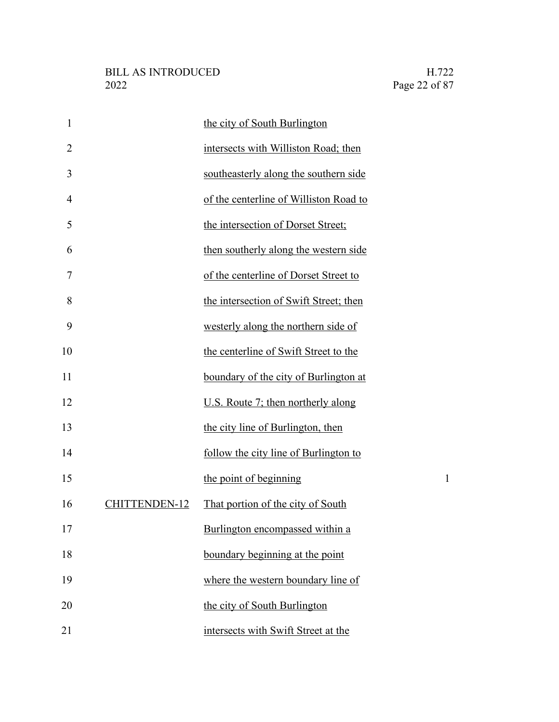| $\mathbf{1}$   |                      | the city of South Burlington           |              |
|----------------|----------------------|----------------------------------------|--------------|
| $\overline{2}$ |                      | intersects with Williston Road; then   |              |
| 3              |                      | southeasterly along the southern side  |              |
| 4              |                      | of the centerline of Williston Road to |              |
| 5              |                      | the intersection of Dorset Street;     |              |
| 6              |                      | then southerly along the western side  |              |
| 7              |                      | of the centerline of Dorset Street to  |              |
| 8              |                      | the intersection of Swift Street; then |              |
| 9              |                      | westerly along the northern side of    |              |
| 10             |                      | the centerline of Swift Street to the  |              |
| 11             |                      | boundary of the city of Burlington at  |              |
| 12             |                      | U.S. Route 7; then northerly along     |              |
| 13             |                      | the city line of Burlington, then      |              |
| 14             |                      | follow the city line of Burlington to  |              |
| 15             |                      | the point of beginning                 | $\mathbf{1}$ |
| 16             | <b>CHITTENDEN-12</b> | That portion of the city of South      |              |
| 17             |                      | Burlington encompassed within a        |              |
| 18             |                      | boundary beginning at the point        |              |
| 19             |                      | where the western boundary line of     |              |
| 20             |                      | the city of South Burlington           |              |
| 21             |                      | intersects with Swift Street at the    |              |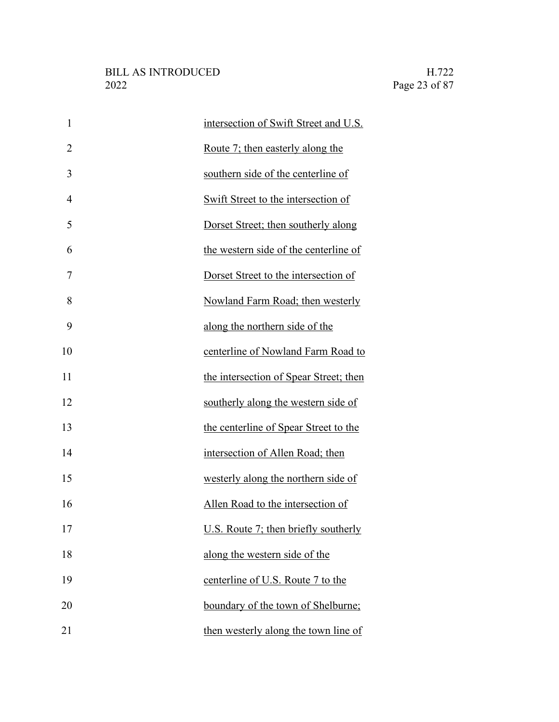| $\mathbf{1}$   | intersection of Swift Street and U.S.  |
|----------------|----------------------------------------|
| $\overline{2}$ | Route 7; then easterly along the       |
| 3              | southern side of the centerline of     |
| $\overline{4}$ | Swift Street to the intersection of    |
| 5              | Dorset Street; then southerly along    |
| 6              | the western side of the centerline of  |
| 7              | Dorset Street to the intersection of   |
| 8              | Nowland Farm Road; then westerly       |
| 9              | along the northern side of the         |
| 10             | centerline of Nowland Farm Road to     |
| 11             | the intersection of Spear Street; then |
| 12             | southerly along the western side of    |
| 13             | the centerline of Spear Street to the  |
| 14             | intersection of Allen Road; then       |
| 15             | westerly along the northern side of    |
| 16             | Allen Road to the intersection of      |
| 17             | U.S. Route 7; then briefly southerly   |
| 18             | along the western side of the          |
| 19             | centerline of U.S. Route 7 to the      |
| 20             | boundary of the town of Shelburne;     |
| 21             | then westerly along the town line of   |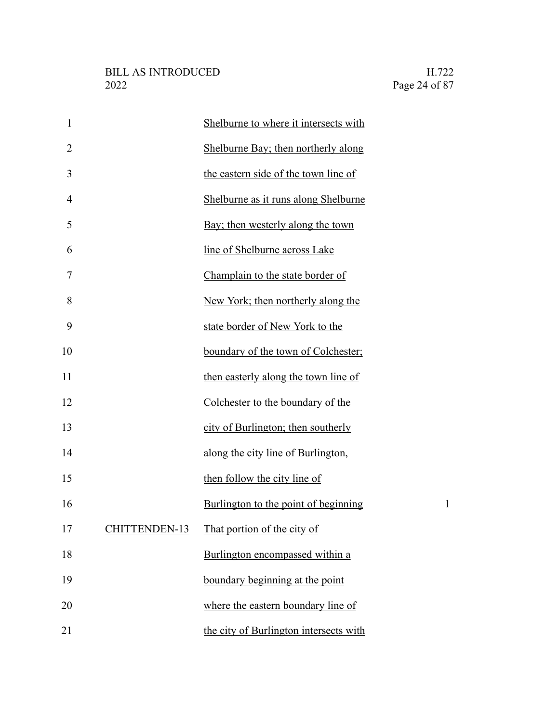| $\mathbf{1}$   |               | Shelburne to where it intersects with  |              |
|----------------|---------------|----------------------------------------|--------------|
| $\overline{2}$ |               | Shelburne Bay; then northerly along    |              |
| 3              |               | the eastern side of the town line of   |              |
| 4              |               | Shelburne as it runs along Shelburne   |              |
| 5              |               | Bay; then westerly along the town      |              |
| 6              |               | line of Shelburne across Lake          |              |
| 7              |               | Champlain to the state border of       |              |
| 8              |               | New York; then northerly along the     |              |
| 9              |               | state border of New York to the        |              |
| 10             |               | boundary of the town of Colchester;    |              |
| 11             |               | then easterly along the town line of   |              |
| 12             |               | Colchester to the boundary of the      |              |
| 13             |               | city of Burlington; then southerly     |              |
| 14             |               | along the city line of Burlington,     |              |
| 15             |               | then follow the city line of           |              |
| 16             |               | Burlington to the point of beginning   | $\mathbf{1}$ |
|                | CHITTENDEN-13 | That portion of the city of            |              |
| 18             |               | Burlington encompassed within a        |              |
| 19             |               | boundary beginning at the point        |              |
| 20             |               | where the eastern boundary line of     |              |
| 21             |               | the city of Burlington intersects with |              |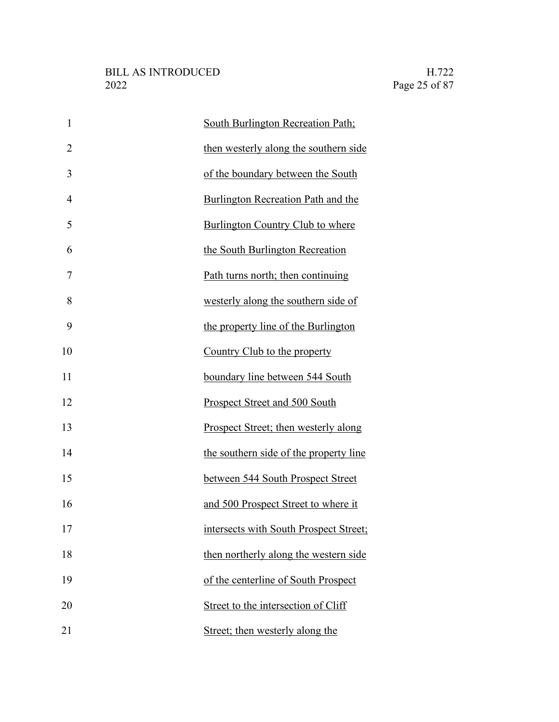| $\mathbf{1}$   | <b>South Burlington Recreation Path;</b> |
|----------------|------------------------------------------|
| $\overline{2}$ | then westerly along the southern side    |
| 3              | of the boundary between the South        |
| $\overline{4}$ | Burlington Recreation Path and the       |
| 5              | <b>Burlington Country Club to where</b>  |
| 6              | the South Burlington Recreation          |
| 7              | Path turns north; then continuing        |
| 8              | westerly along the southern side of      |
| 9              | the property line of the Burlington      |
| 10             | Country Club to the property             |
| 11             | boundary line between 544 South          |
| 12             | Prospect Street and 500 South            |
| 13             | Prospect Street; then westerly along     |
| 14             | the southern side of the property line   |
| 15             | between 544 South Prospect Street        |
| 16             | and 500 Prospect Street to where it      |
|                | intersects with South Prospect Street;   |
| 18             | then northerly along the western side    |
| 19             | of the centerline of South Prospect      |
| 20             | Street to the intersection of Cliff      |
| 21             | Street; then westerly along the          |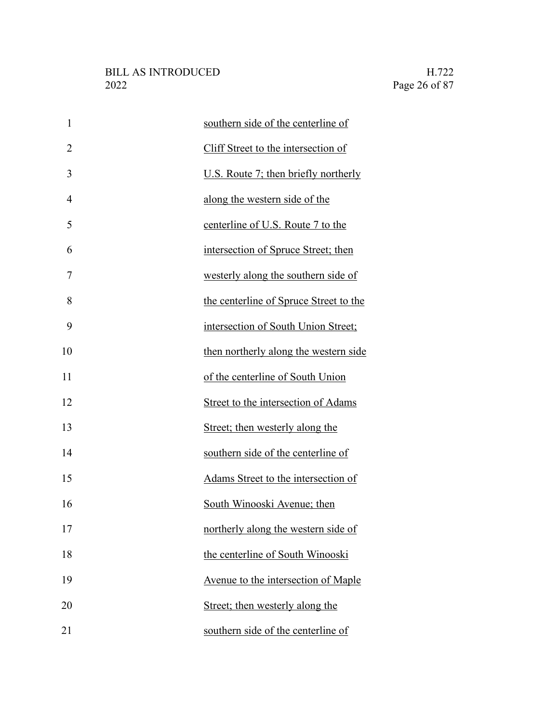| $\mathbf{1}$   | southern side of the centerline of     |
|----------------|----------------------------------------|
| $\overline{2}$ | Cliff Street to the intersection of    |
| 3              | U.S. Route 7; then briefly northerly   |
| $\overline{4}$ | along the western side of the          |
| 5              | centerline of U.S. Route 7 to the      |
| 6              | intersection of Spruce Street; then    |
| 7              | westerly along the southern side of    |
| 8              | the centerline of Spruce Street to the |
| 9              | intersection of South Union Street;    |
| 10             | then northerly along the western side  |
| 11             | of the centerline of South Union       |
| 12             | Street to the intersection of Adams    |
| 13             | Street; then westerly along the        |
| 14             | southern side of the centerline of     |
| 15             | Adams Street to the intersection of    |
| 16             | South Winooski Avenue; then            |
| 17             | northerly along the western side of    |
| 18             | the centerline of South Winooski       |
| 19             | Avenue to the intersection of Maple    |
| 20             | Street; then westerly along the        |
| 21             | southern side of the centerline of     |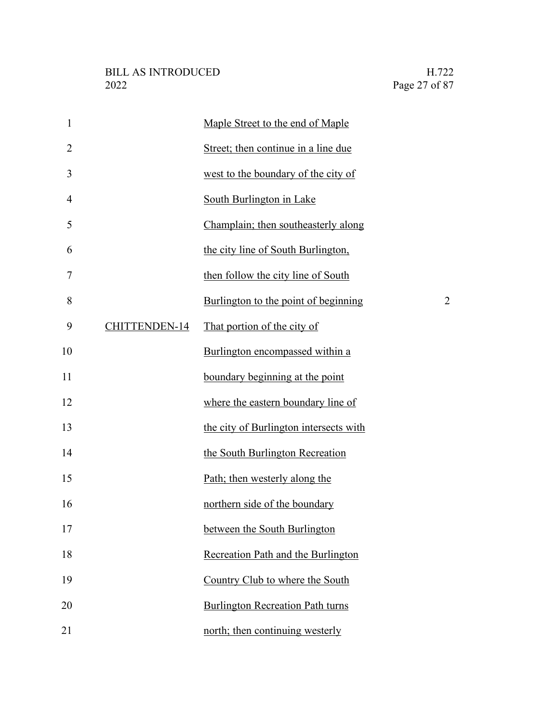| $\mathbf{1}$   |                      | Maple Street to the end of Maple        |                |
|----------------|----------------------|-----------------------------------------|----------------|
| $\overline{2}$ |                      | Street; then continue in a line due     |                |
| 3              |                      | west to the boundary of the city of     |                |
| 4              |                      | South Burlington in Lake                |                |
| 5              |                      | Champlain; then southeasterly along     |                |
| 6              |                      | the city line of South Burlington,      |                |
| 7              |                      | then follow the city line of South      |                |
| 8              |                      | Burlington to the point of beginning    | $\overline{c}$ |
| 9              | <b>CHITTENDEN-14</b> | That portion of the city of             |                |
| 10             |                      | Burlington encompassed within a         |                |
| 11             |                      | boundary beginning at the point         |                |
| 12             |                      | where the eastern boundary line of      |                |
| 13             |                      | the city of Burlington intersects with  |                |
| 14             |                      | the South Burlington Recreation         |                |
| 15             |                      | Path; then westerly along the           |                |
| 16             |                      | northern side of the boundary           |                |
| 17             |                      | between the South Burlington            |                |
| 18             |                      | Recreation Path and the Burlington      |                |
| 19             |                      | Country Club to where the South         |                |
| 20             |                      | <b>Burlington Recreation Path turns</b> |                |
| 21             |                      | north; then continuing westerly         |                |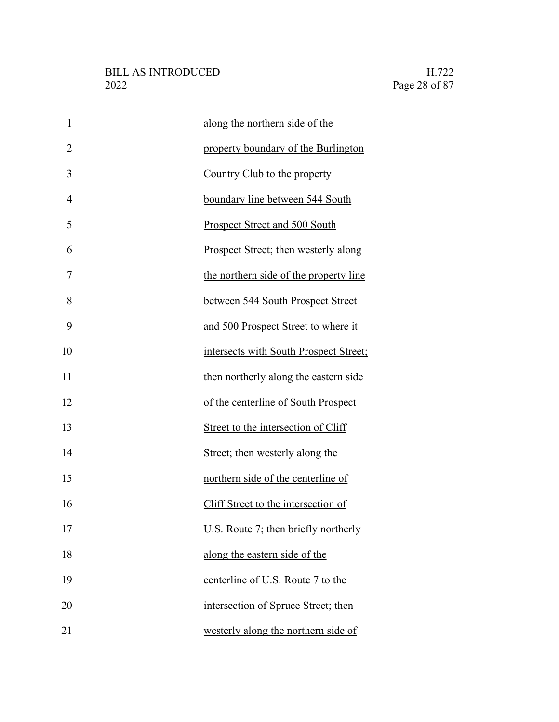| $\mathbf{1}$   | along the northern side of the         |
|----------------|----------------------------------------|
| $\overline{2}$ | property boundary of the Burlington    |
| 3              | Country Club to the property           |
| $\overline{4}$ | boundary line between 544 South        |
| 5              | Prospect Street and 500 South          |
| 6              | Prospect Street; then westerly along   |
| 7              | the northern side of the property line |
| 8              | between 544 South Prospect Street      |
| 9              | and 500 Prospect Street to where it    |
| 10             | intersects with South Prospect Street; |
| 11             | then northerly along the eastern side  |
| 12             | of the centerline of South Prospect    |
| 13             | Street to the intersection of Cliff    |
| 14             | Street; then westerly along the        |
| 15             | northern side of the centerline of     |
| 16             | Cliff Street to the intersection of    |
| 17             | U.S. Route 7; then briefly northerly   |
| 18             | along the eastern side of the          |
| 19             | centerline of U.S. Route 7 to the      |
| 20             | intersection of Spruce Street; then    |
| 21             | westerly along the northern side of    |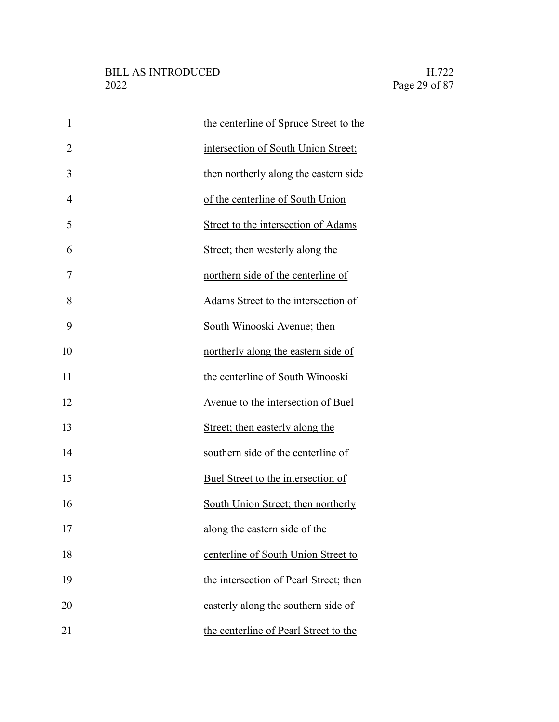| $\mathbf{1}$   | the centerline of Spruce Street to the |
|----------------|----------------------------------------|
| $\overline{2}$ | intersection of South Union Street;    |
| 3              | then northerly along the eastern side  |
| $\overline{4}$ | of the centerline of South Union       |
| 5              | Street to the intersection of Adams    |
| 6              | Street; then westerly along the        |
| 7              | northern side of the centerline of     |
| 8              | Adams Street to the intersection of    |
| 9              | South Winooski Avenue; then            |
| 10             | northerly along the eastern side of    |
| 11             | the centerline of South Winooski       |
| 12             | Avenue to the intersection of Buel     |
| 13             | Street; then easterly along the        |
| 14             | southern side of the centerline of     |
| 15             | Buel Street to the intersection of     |
| 16             | South Union Street; then northerly     |
| 17             | along the eastern side of the          |
| 18             | centerline of South Union Street to    |
| 19             | the intersection of Pearl Street; then |
| 20             | easterly along the southern side of    |
| 21             | the centerline of Pearl Street to the  |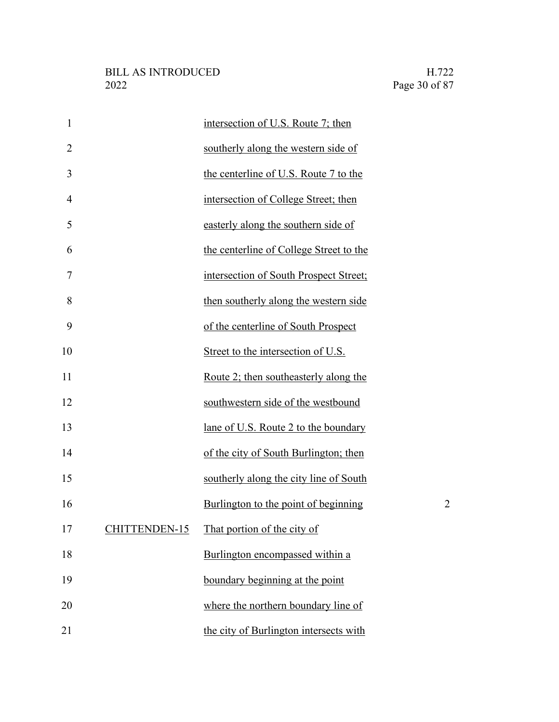| $\mathbf{1}$   |               | intersection of U.S. Route 7; then      |                |
|----------------|---------------|-----------------------------------------|----------------|
| $\overline{2}$ |               | southerly along the western side of     |                |
| 3              |               | the centerline of U.S. Route 7 to the   |                |
| 4              |               | intersection of College Street; then    |                |
| 5              |               | easterly along the southern side of     |                |
| 6              |               | the centerline of College Street to the |                |
| 7              |               | intersection of South Prospect Street;  |                |
| 8              |               | then southerly along the western side   |                |
| 9              |               | of the centerline of South Prospect     |                |
| 10             |               | Street to the intersection of U.S.      |                |
| 11             |               | Route 2; then southeasterly along the   |                |
| 12             |               | southwestern side of the westbound      |                |
| 13             |               | lane of U.S. Route 2 to the boundary    |                |
| 14             |               | of the city of South Burlington; then   |                |
| 15             |               | southerly along the city line of South  |                |
| 16             |               | Burlington to the point of beginning    | $\overline{c}$ |
| 17             | CHITTENDEN-15 | That portion of the city of             |                |
| 18             |               | Burlington encompassed within a         |                |
| 19             |               | boundary beginning at the point         |                |
| 20             |               | where the northern boundary line of     |                |
| 21             |               | the city of Burlington intersects with  |                |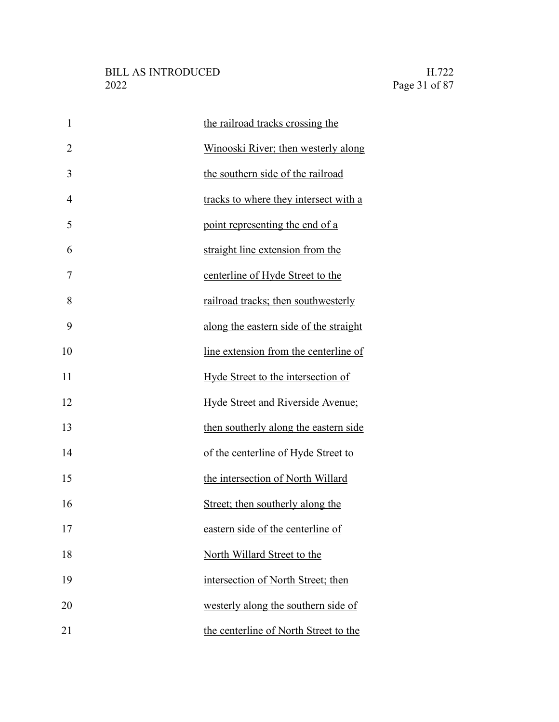| $\mathbf{1}$   | the railroad tracks crossing the       |
|----------------|----------------------------------------|
| $\overline{2}$ | Winooski River; then westerly along    |
| 3              | the southern side of the railroad      |
| $\overline{4}$ | tracks to where they intersect with a  |
| 5              | point representing the end of a        |
| 6              | straight line extension from the       |
| 7              | centerline of Hyde Street to the       |
| 8              | railroad tracks; then southwesterly    |
| 9              | along the eastern side of the straight |
| 10             | line extension from the centerline of  |
| 11             | Hyde Street to the intersection of     |
| 12             | Hyde Street and Riverside Avenue;      |
| 13             | then southerly along the eastern side  |
| 14             | of the centerline of Hyde Street to    |
| 15             | the intersection of North Willard      |
| 16             | Street; then southerly along the       |
| 17             | eastern side of the centerline of      |
| 18             | North Willard Street to the            |
| 19             | intersection of North Street; then     |
| 20             | westerly along the southern side of    |
| 21             | the centerline of North Street to the  |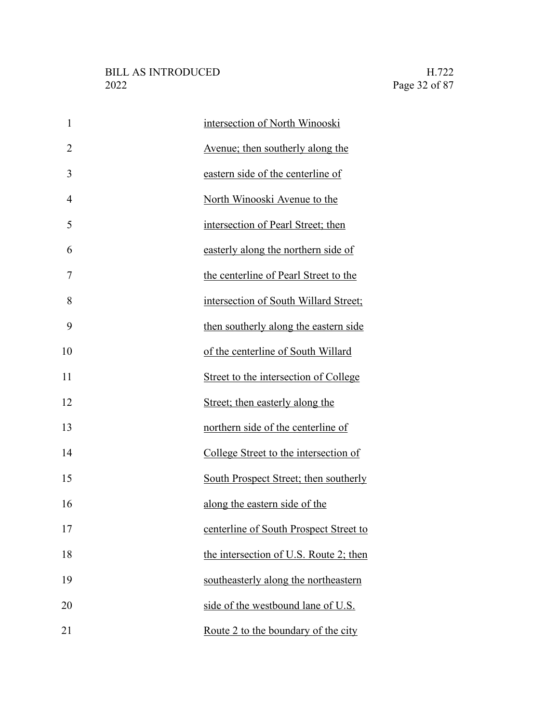| $\mathbf{1}$   | intersection of North Winooski         |
|----------------|----------------------------------------|
| $\overline{2}$ | Avenue; then southerly along the       |
| 3              | eastern side of the centerline of      |
| $\overline{4}$ | North Winooski Avenue to the           |
| 5              | intersection of Pearl Street; then     |
| 6              | easterly along the northern side of    |
| 7              | the centerline of Pearl Street to the  |
| 8              | intersection of South Willard Street;  |
| 9              | then southerly along the eastern side  |
| 10             | of the centerline of South Willard     |
| 11             | Street to the intersection of College  |
| 12             | Street; then easterly along the        |
| 13             | northern side of the centerline of     |
| 14             | College Street to the intersection of  |
| 15             | South Prospect Street; then southerly  |
| 16             | along the eastern side of the          |
| 17             | centerline of South Prospect Street to |
| 18             | the intersection of U.S. Route 2; then |
| 19             | southeasterly along the northeastern   |
| 20             | side of the westbound lane of U.S.     |
| 21             | Route 2 to the boundary of the city    |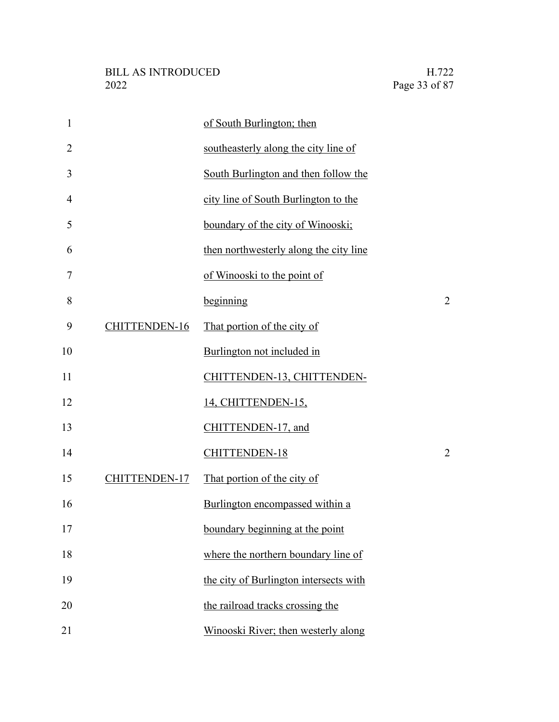| $\mathbf{1}$   |                      | of South Burlington; then              |                |
|----------------|----------------------|----------------------------------------|----------------|
| $\overline{2}$ |                      | southeasterly along the city line of   |                |
| 3              |                      | South Burlington and then follow the   |                |
| 4              |                      | city line of South Burlington to the   |                |
| 5              |                      | boundary of the city of Winooski;      |                |
| 6              |                      | then northwesterly along the city line |                |
| 7              |                      | of Winooski to the point of            |                |
| 8              |                      | beginning                              | $\overline{2}$ |
| 9              | <b>CHITTENDEN-16</b> | That portion of the city of            |                |
| 10             |                      | Burlington not included in             |                |
| 11             |                      | CHITTENDEN-13, CHITTENDEN-             |                |
| 12             |                      | 14, CHITTENDEN-15,                     |                |
| 13             |                      | CHITTENDEN-17, and                     |                |
| 14             |                      | CHITTENDEN-18                          | $\overline{2}$ |
| 15             | CHITTENDEN-17        | That portion of the city of            |                |
| 16             |                      | Burlington encompassed within a        |                |
| 17             |                      | boundary beginning at the point        |                |
| 18             |                      | where the northern boundary line of    |                |
| 19             |                      | the city of Burlington intersects with |                |
| 20             |                      | the railroad tracks crossing the       |                |
| 21             |                      | Winooski River; then westerly along    |                |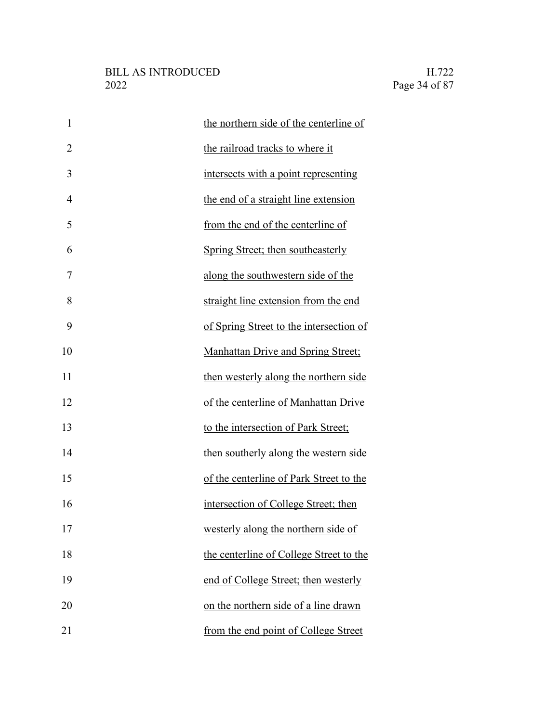| $\mathbf{1}$   | the northern side of the centerline of    |
|----------------|-------------------------------------------|
| $\overline{2}$ | the railroad tracks to where it           |
| 3              | intersects with a point representing      |
| 4              | the end of a straight line extension      |
| 5              | from the end of the centerline of         |
| 6              | Spring Street; then southeasterly         |
| 7              | along the southwestern side of the        |
| 8              | straight line extension from the end      |
| 9              | of Spring Street to the intersection of   |
| 10             | <b>Manhattan Drive and Spring Street;</b> |
| 11             | then westerly along the northern side     |
| 12             | of the centerline of Manhattan Drive      |
| 13             | to the intersection of Park Street;       |
| 14             | then southerly along the western side     |
| 15             | of the centerline of Park Street to the   |
| 16             | intersection of College Street; then      |
|                | westerly along the northern side of       |
| 18             | the centerline of College Street to the   |
| 19             | end of College Street; then westerly      |
| 20             | on the northern side of a line drawn      |
| 21             | from the end point of College Street      |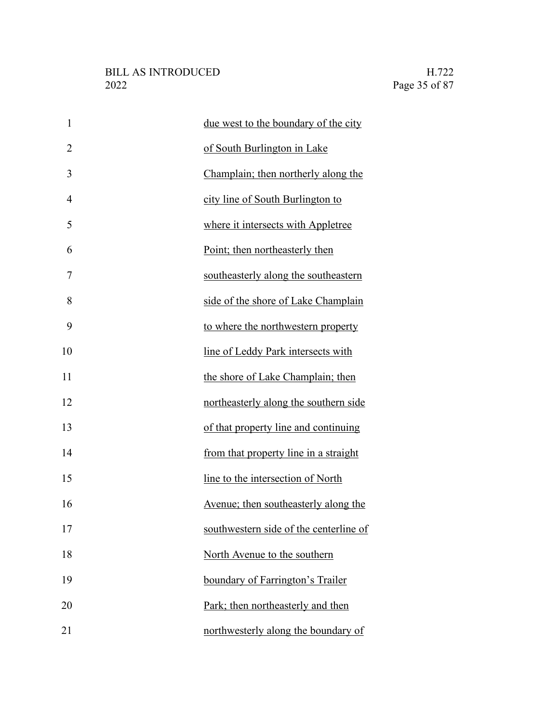| 1              | due west to the boundary of the city   |
|----------------|----------------------------------------|
| $\overline{2}$ | of South Burlington in Lake            |
| 3              | Champlain; then northerly along the    |
| 4              | city line of South Burlington to       |
| 5              | where it intersects with Appletree     |
| 6              | Point; then northeasterly then         |
| 7              | southeasterly along the southeastern   |
| 8              | side of the shore of Lake Champlain    |
| 9              | to where the northwestern property     |
| 10             | line of Leddy Park intersects with     |
| 11             | the shore of Lake Champlain; then      |
| 12             | northeasterly along the southern side  |
| 13             | of that property line and continuing   |
| 14             | from that property line in a straight  |
| 15             | line to the intersection of North      |
| 16             | Avenue; then southeasterly along the   |
| 17             | southwestern side of the centerline of |
| 18             | North Avenue to the southern           |
| 19             | boundary of Farrington's Trailer       |
| 20             | Park; then northeasterly and then      |
| 21             | northwesterly along the boundary of    |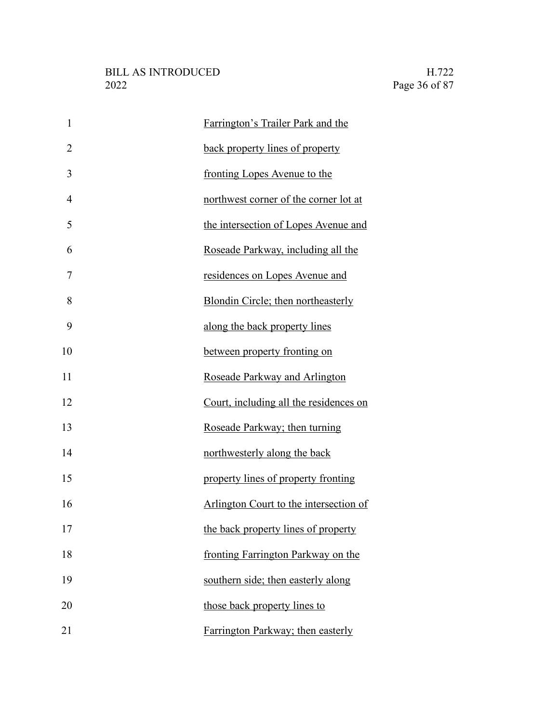| $\mathbf{1}$   | Farrington's Trailer Park and the      |
|----------------|----------------------------------------|
| $\overline{2}$ | back property lines of property        |
| 3              | fronting Lopes Avenue to the           |
| $\overline{4}$ | northwest corner of the corner lot at  |
| 5              | the intersection of Lopes Avenue and   |
| 6              | Roseade Parkway, including all the     |
| 7              | residences on Lopes Avenue and         |
| 8              | Blondin Circle; then northeasterly     |
| 9              | along the back property lines          |
| 10             | between property fronting on           |
| 11             | Roseade Parkway and Arlington          |
| 12             | Court, including all the residences on |
| 13             | Roseade Parkway; then turning          |
| 14             | northwesterly along the back           |
| 15             | property lines of property fronting    |
| 16             | Arlington Court to the intersection of |
| 17             | the back property lines of property    |
| 18             | fronting Farrington Parkway on the     |
| 19             | southern side; then easterly along     |
| 20             | those back property lines to           |
| 21             | Farrington Parkway; then easterly      |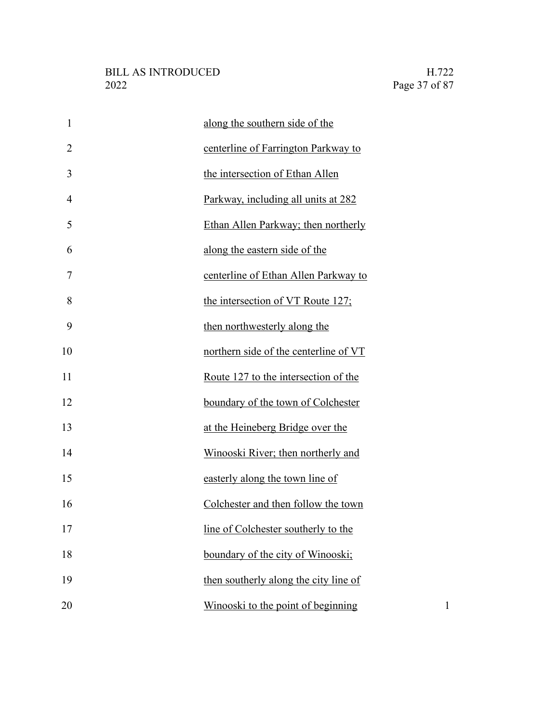| $\mathbf{1}$   | along the southern side of the                     |
|----------------|----------------------------------------------------|
| $\overline{2}$ | centerline of Farrington Parkway to                |
| 3              | the intersection of Ethan Allen                    |
| 4              | Parkway, including all units at 282                |
| 5              | Ethan Allen Parkway; then northerly                |
| 6              | along the eastern side of the                      |
| 7              | centerline of Ethan Allen Parkway to               |
| 8              | the intersection of VT Route 127;                  |
| 9              | then northwesterly along the                       |
| 10             | northern side of the centerline of VT              |
| 11             | Route 127 to the intersection of the               |
| 12             | boundary of the town of Colchester                 |
| 13             | at the Heineberg Bridge over the                   |
| 14             | Winooski River; then northerly and                 |
| 15             | easterly along the town line of                    |
| 16             | Colchester and then follow the town                |
| 17             | line of Colchester southerly to the                |
| 18             | boundary of the city of Winooski;                  |
| 19             | then southerly along the city line of              |
| 20             | Winooski to the point of beginning<br>$\mathbf{1}$ |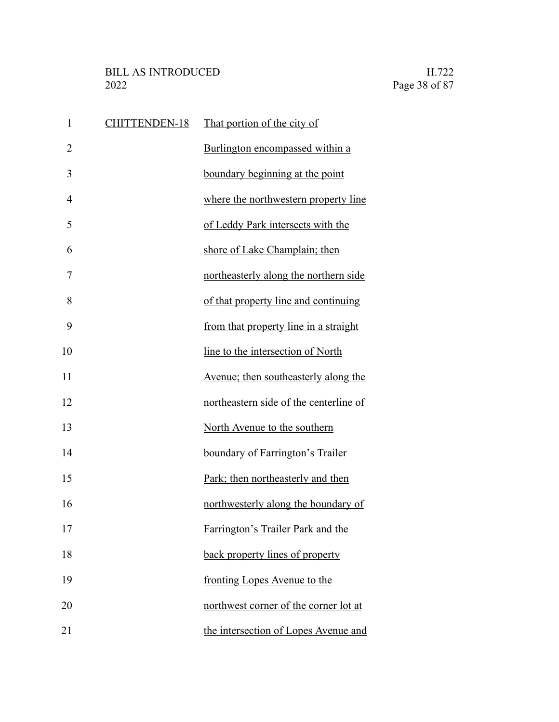| $\mathbf{1}$   | CHITTENDEN-18 | That portion of the city of            |
|----------------|---------------|----------------------------------------|
| $\overline{2}$ |               | Burlington encompassed within a        |
| 3              |               | boundary beginning at the point        |
| 4              |               | where the northwestern property line   |
| 5              |               | of Leddy Park intersects with the      |
| 6              |               | shore of Lake Champlain; then          |
| 7              |               | northeasterly along the northern side  |
| 8              |               | of that property line and continuing   |
| 9              |               | from that property line in a straight  |
| 10             |               | line to the intersection of North      |
| 11             |               | Avenue; then southeasterly along the   |
| 12             |               | northeastern side of the centerline of |
| 13             |               | North Avenue to the southern           |
| 14             |               | boundary of Farrington's Trailer       |
| 15             |               | Park; then northeasterly and then      |
| 16             |               | northwesterly along the boundary of    |
| 17             |               | Farrington's Trailer Park and the      |
| 18             |               | back property lines of property        |
| 19             |               | fronting Lopes Avenue to the           |
| 20             |               | northwest corner of the corner lot at  |
| 21             |               | the intersection of Lopes Avenue and   |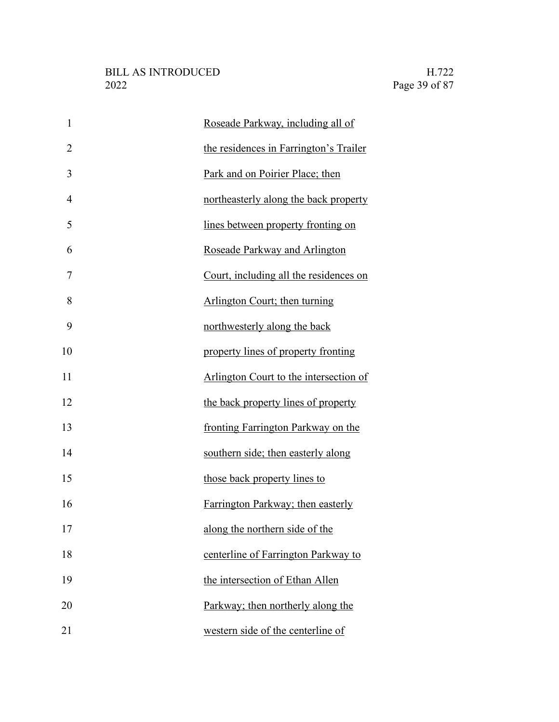| $\mathbf{1}$   | Roseade Parkway, including all of      |
|----------------|----------------------------------------|
| $\overline{2}$ | the residences in Farrington's Trailer |
| 3              | Park and on Poirier Place; then        |
| $\overline{4}$ | northeasterly along the back property  |
| 5              | lines between property fronting on     |
| 6              | Roseade Parkway and Arlington          |
| 7              | Court, including all the residences on |
| 8              | Arlington Court; then turning          |
| 9              | northwesterly along the back           |
| 10             | property lines of property fronting    |
| 11             | Arlington Court to the intersection of |
| 12             | the back property lines of property    |
| 13             | fronting Farrington Parkway on the     |
| 14             | southern side; then easterly along     |
| 15             | those back property lines to           |
| 16             | Farrington Parkway; then easterly      |
| 17             | along the northern side of the         |
| 18             | centerline of Farrington Parkway to    |
| 19             | the intersection of Ethan Allen        |
| 20             | Parkway; then northerly along the      |
| 21             | western side of the centerline of      |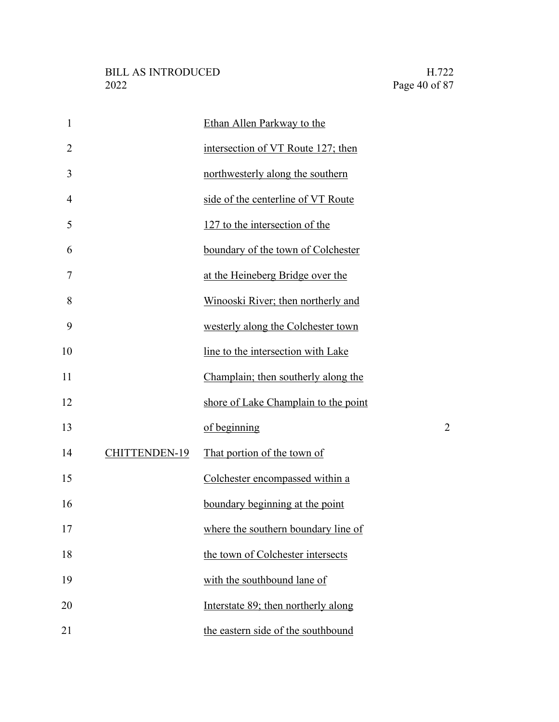| $\mathbf{1}$   |                      | Ethan Allen Parkway to the           |                |
|----------------|----------------------|--------------------------------------|----------------|
| $\overline{2}$ |                      | intersection of VT Route 127; then   |                |
| 3              |                      | northwesterly along the southern     |                |
| 4              |                      | side of the centerline of VT Route   |                |
| 5              |                      | 127 to the intersection of the       |                |
| 6              |                      | boundary of the town of Colchester   |                |
| 7              |                      | at the Heineberg Bridge over the     |                |
| 8              |                      | Winooski River; then northerly and   |                |
| 9              |                      | westerly along the Colchester town   |                |
| 10             |                      | line to the intersection with Lake   |                |
| 11             |                      | Champlain; then southerly along the  |                |
| 12             |                      | shore of Lake Champlain to the point |                |
| 13             |                      | of beginning                         | $\overline{c}$ |
| 14             | <b>CHITTENDEN-19</b> | That portion of the town of          |                |
| 15             |                      | Colchester encompassed within a      |                |
| 16             |                      | boundary beginning at the point      |                |
| 17             |                      | where the southern boundary line of  |                |
| 18             |                      | the town of Colchester intersects    |                |
| 19             |                      | with the southbound lane of          |                |
| 20             |                      | Interstate 89; then northerly along  |                |
| 21             |                      | the eastern side of the southbound   |                |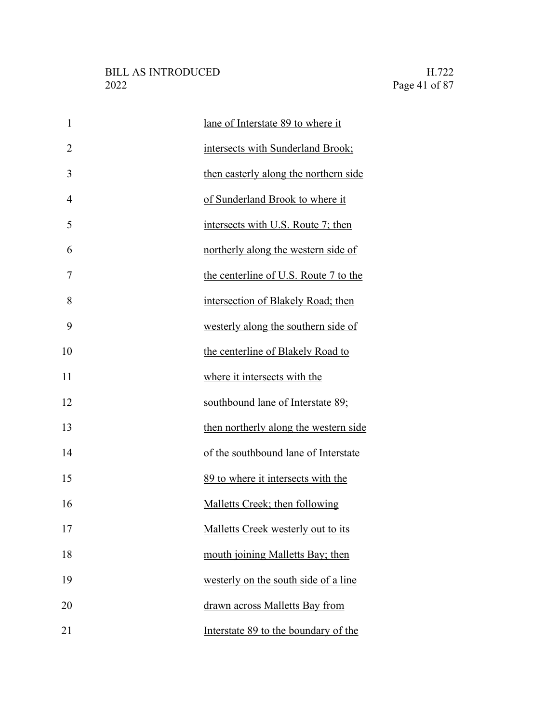| $\mathbf{1}$   | <u>lane of Interstate 89 to where it</u> |
|----------------|------------------------------------------|
| $\overline{2}$ | intersects with Sunderland Brook;        |
| 3              | then easterly along the northern side    |
| 4              | of Sunderland Brook to where it          |
| 5              | intersects with U.S. Route 7; then       |
| 6              | northerly along the western side of      |
| 7              | the centerline of U.S. Route 7 to the    |
| 8              | intersection of Blakely Road; then       |
| 9              | westerly along the southern side of      |
| 10             | the centerline of Blakely Road to        |
| 11             | where it intersects with the             |
| 12             | southbound lane of Interstate 89;        |
| 13             | then northerly along the western side    |
| 14             | of the southbound lane of Interstate     |
| 15             | 89 to where it intersects with the       |
| 16             | Malletts Creek; then following           |
| 17             | Malletts Creek westerly out to its       |
| 18             | mouth joining Malletts Bay; then         |
| 19             | westerly on the south side of a line     |
| 20             | drawn across Malletts Bay from           |
| 21             | Interstate 89 to the boundary of the     |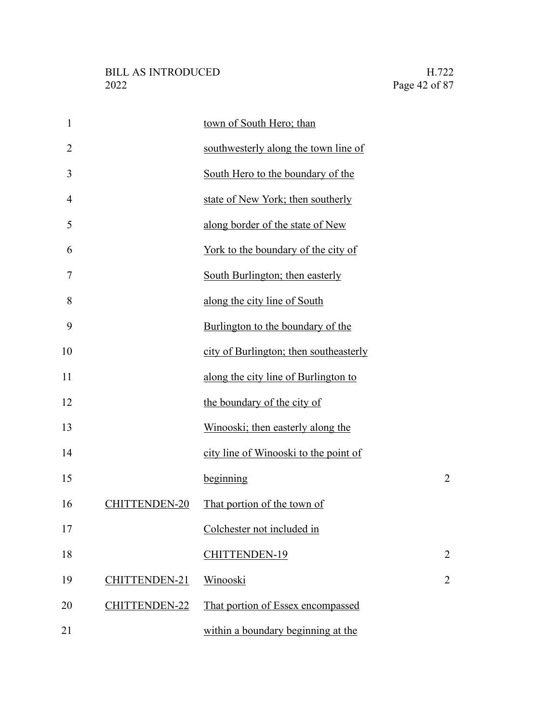| $\mathbf{1}$   |                      | town of South Hero; than               |                |
|----------------|----------------------|----------------------------------------|----------------|
| $\overline{2}$ |                      | southwesterly along the town line of   |                |
| 3              |                      | South Hero to the boundary of the      |                |
| 4              |                      | state of New York; then southerly      |                |
| 5              |                      | along border of the state of New       |                |
| 6              |                      | York to the boundary of the city of    |                |
| 7              |                      | South Burlington; then easterly        |                |
| 8              |                      | along the city line of South           |                |
| 9              |                      | Burlington to the boundary of the      |                |
| 10             |                      | city of Burlington; then southeasterly |                |
| 11             |                      | along the city line of Burlington to   |                |
| 12             |                      | the boundary of the city of            |                |
| 13             |                      | Winooski; then easterly along the      |                |
| 14             |                      | city line of Winooski to the point of  |                |
| 15             |                      | beginning                              | $\overline{2}$ |
| 16             | <b>CHITTENDEN-20</b> | That portion of the town of            |                |
| 17             |                      | Colchester not included in             |                |
| 18             |                      | CHITTENDEN-19                          | $\overline{2}$ |
| 19             | <b>CHITTENDEN-21</b> | <b>Winooski</b>                        | $\overline{2}$ |
| 20             | CHITTENDEN-22        | That portion of Essex encompassed      |                |
| 21             |                      | within a boundary beginning at the     |                |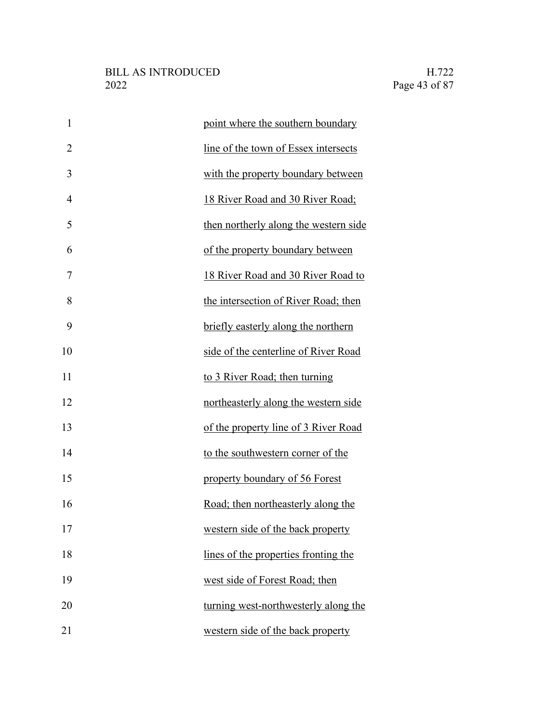| $\mathbf{1}$   | point where the southern boundary     |
|----------------|---------------------------------------|
| $\overline{2}$ | line of the town of Essex intersects  |
| 3              | with the property boundary between    |
| $\overline{4}$ | 18 River Road and 30 River Road;      |
| 5              | then northerly along the western side |
| 6              | of the property boundary between      |
| 7              | 18 River Road and 30 River Road to    |
| 8              | the intersection of River Road; then  |
| 9              | briefly easterly along the northern   |
| 10             | side of the centerline of River Road  |
| 11             | to 3 River Road; then turning         |
| 12             | northeasterly along the western side  |
| 13             | of the property line of 3 River Road  |
| 14             | to the southwestern corner of the     |
| 15             | property boundary of 56 Forest        |
| 16             | Road; then northeasterly along the    |
| 17             | western side of the back property     |
| 18             | lines of the properties fronting the  |
| 19             | west side of Forest Road; then        |
| 20             | turning west-northwesterly along the  |
| 21             | western side of the back property     |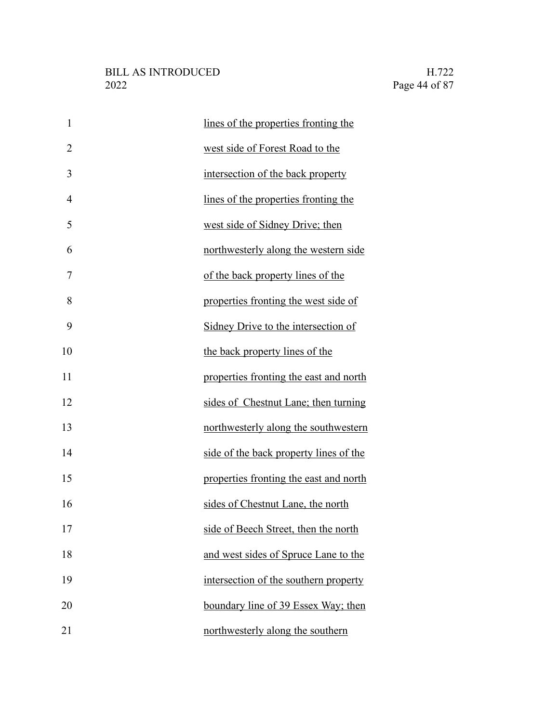| $\mathbf{1}$   | lines of the properties fronting the   |
|----------------|----------------------------------------|
| $\overline{2}$ | west side of Forest Road to the        |
| 3              | intersection of the back property      |
| $\overline{4}$ | lines of the properties fronting the   |
| 5              | west side of Sidney Drive; then        |
| 6              | northwesterly along the western side   |
| 7              | of the back property lines of the      |
| 8              | properties fronting the west side of   |
| 9              | Sidney Drive to the intersection of    |
| 10             | the back property lines of the         |
| 11             | properties fronting the east and north |
| 12             | sides of Chestnut Lane; then turning   |
| 13             | northwesterly along the southwestern   |
| 14             | side of the back property lines of the |
| 15             | properties fronting the east and north |
| 16             | sides of Chestnut Lane, the north      |
| 17             | side of Beech Street, then the north   |
| 18             | and west sides of Spruce Lane to the   |
| 19             | intersection of the southern property  |
| 20             | boundary line of 39 Essex Way; then    |
| 21             | northwesterly along the southern       |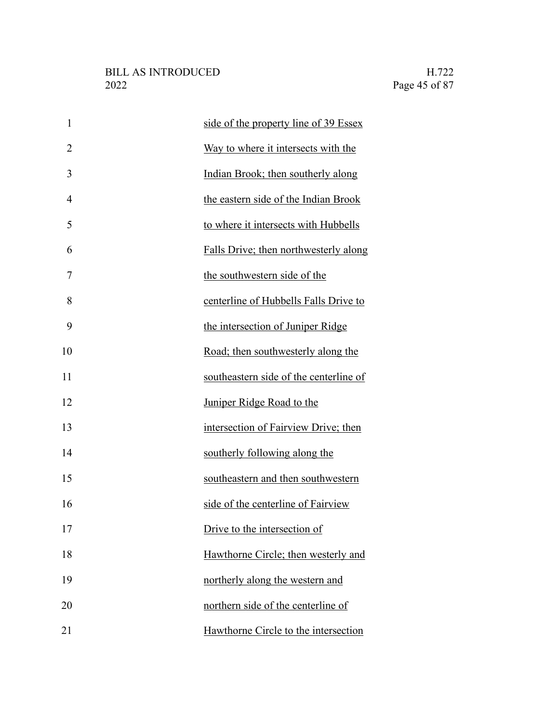| $\mathbf{1}$   | side of the property line of 39 Essex  |
|----------------|----------------------------------------|
| $\overline{2}$ | Way to where it intersects with the    |
| 3              | Indian Brook; then southerly along     |
| 4              | the eastern side of the Indian Brook   |
| 5              | to where it intersects with Hubbells   |
| 6              | Falls Drive; then northwesterly along  |
| 7              | the southwestern side of the           |
| 8              | centerline of Hubbells Falls Drive to  |
| 9              | the intersection of Juniper Ridge      |
| 10             | Road; then southwesterly along the     |
| 11             | southeastern side of the centerline of |
| 12             | Juniper Ridge Road to the              |
| 13             | intersection of Fairview Drive; then   |
| 14             | southerly following along the          |
| 15             | southeastern and then southwestern     |
| 16             | side of the centerline of Fairview     |
| 17             | Drive to the intersection of           |
| 18             | Hawthorne Circle; then westerly and    |
| 19             | northerly along the western and        |
| 20             | northern side of the centerline of     |
| 21             | Hawthorne Circle to the intersection   |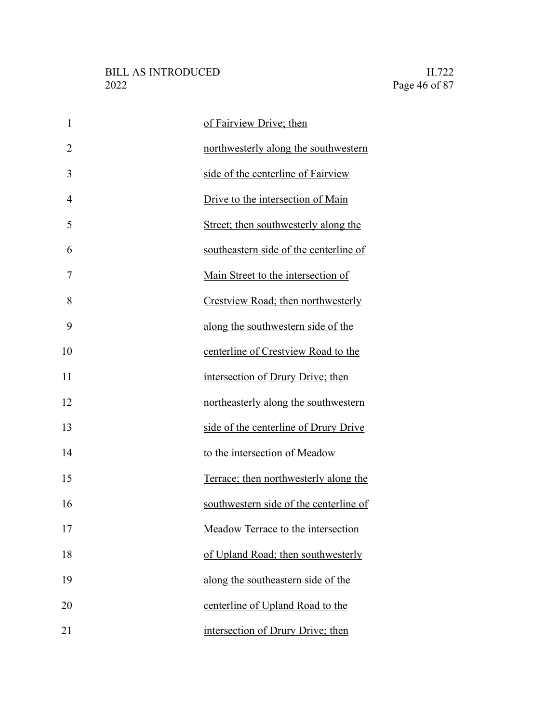| $\mathbf{1}$   | of Fairview Drive; then                |
|----------------|----------------------------------------|
| 2              | northwesterly along the southwestern   |
| 3              | side of the centerline of Fairview     |
| $\overline{4}$ | Drive to the intersection of Main      |
| 5              | Street; then southwesterly along the   |
| 6              | southeastern side of the centerline of |
| 7              | Main Street to the intersection of     |
| 8              | Crestview Road; then northwesterly     |
| 9              | along the southwestern side of the     |
| 10             | centerline of Crestview Road to the    |
| 11             | intersection of Drury Drive; then      |
| 12             | northeasterly along the southwestern   |
| 13             | side of the centerline of Drury Drive  |
| 14             | to the intersection of Meadow          |
| 15             | Terrace; then northwesterly along the  |
| 16             | southwestern side of the centerline of |
| 17             | Meadow Terrace to the intersection     |
| 18             | of Upland Road; then southwesterly     |
| 19             | along the southeastern side of the     |
| 20             | centerline of Upland Road to the       |
| 21             | intersection of Drury Drive; then      |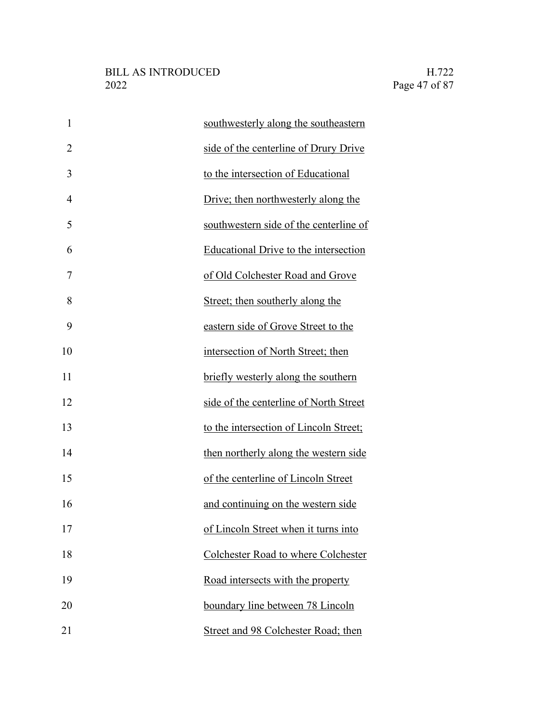| $\mathbf{1}$   | southwesterly along the southeastern         |
|----------------|----------------------------------------------|
| $\overline{2}$ | side of the centerline of Drury Drive        |
| 3              | to the intersection of Educational           |
| $\overline{4}$ | Drive; then northwesterly along the          |
| 5              | southwestern side of the centerline of       |
| 6              | <b>Educational Drive to the intersection</b> |
| 7              | of Old Colchester Road and Grove             |
| 8              | Street; then southerly along the             |
| 9              | eastern side of Grove Street to the          |
| 10             | intersection of North Street; then           |
| 11             | briefly westerly along the southern          |
| 12             | side of the centerline of North Street       |
| 13             | to the intersection of Lincoln Street;       |
| 14             | then northerly along the western side        |
| 15             | of the centerline of Lincoln Street          |
| 16             | and continuing on the western side           |
| 17             | of Lincoln Street when it turns into         |
| 18             | Colchester Road to where Colchester          |
| 19             | Road intersects with the property            |
| 20             | boundary line between 78 Lincoln             |
| 21             | Street and 98 Colchester Road; then          |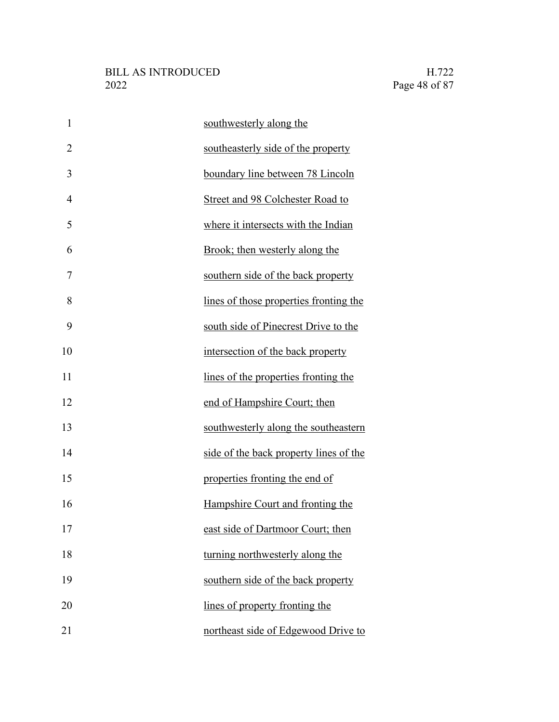| $\mathbf{1}$   | southwesterly along the                |
|----------------|----------------------------------------|
| $\overline{2}$ | southeasterly side of the property     |
| 3              | boundary line between 78 Lincoln       |
| 4              | Street and 98 Colchester Road to       |
| 5              | where it intersects with the Indian    |
| 6              | Brook; then westerly along the         |
| 7              | southern side of the back property     |
| 8              | lines of those properties fronting the |
| 9              | south side of Pinecrest Drive to the   |
| 10             | intersection of the back property      |
| 11             | lines of the properties fronting the   |
| 12             | end of Hampshire Court; then           |
| 13             | southwesterly along the southeastern   |
| 14             | side of the back property lines of the |
| 15             | properties fronting the end of         |
| 16             | Hampshire Court and fronting the       |
| 17             | east side of Dartmoor Court; then      |
| 18             | turning northwesterly along the        |
| 19             | southern side of the back property     |
| 20             | lines of property fronting the         |
| 21             | northeast side of Edgewood Drive to    |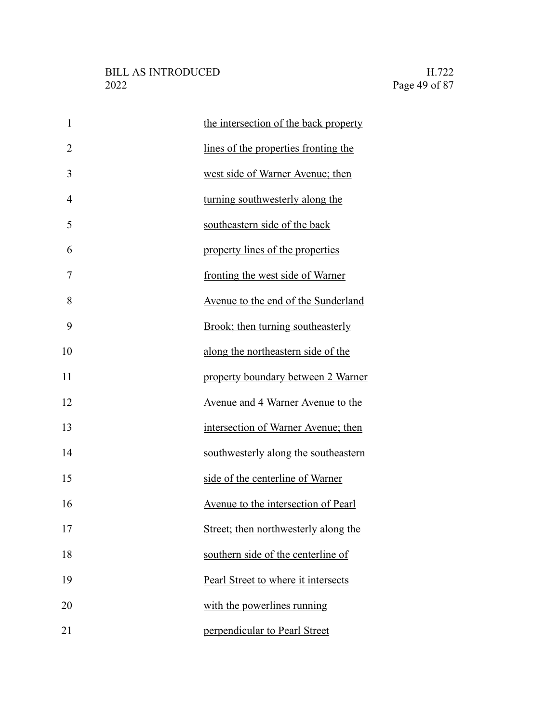| $\mathbf{1}$   | the intersection of the back property |
|----------------|---------------------------------------|
| $\overline{2}$ | lines of the properties fronting the  |
| 3              | west side of Warner Avenue; then      |
| $\overline{4}$ | turning southwesterly along the       |
| 5              | southeastern side of the back         |
| 6              | property lines of the properties      |
| 7              | fronting the west side of Warner      |
| 8              | Avenue to the end of the Sunderland   |
| 9              | Brook; then turning southeasterly     |
| 10             | along the northeastern side of the    |
| 11             | property boundary between 2 Warner    |
| 12             | Avenue and 4 Warner Avenue to the     |
| 13             | intersection of Warner Avenue; then   |
| 14             | southwesterly along the southeastern  |
| 15             | side of the centerline of Warner      |
| 16             | Avenue to the intersection of Pearl   |
| 17             | Street; then northwesterly along the  |
| 18             | southern side of the centerline of    |
| 19             | Pearl Street to where it intersects   |
| 20             | with the powerlines running           |
| 21             | perpendicular to Pearl Street         |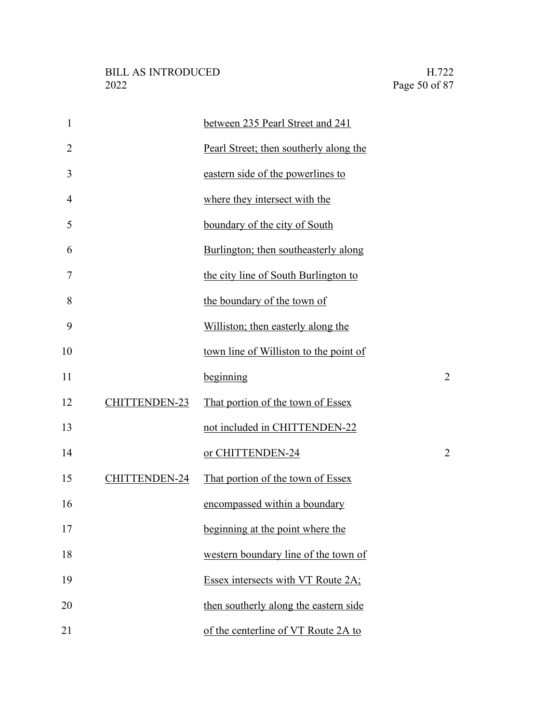| $\mathbf{1}$ |               | between 235 Pearl Street and 241       |                |
|--------------|---------------|----------------------------------------|----------------|
| 2            |               | Pearl Street; then southerly along the |                |
| 3            |               | eastern side of the powerlines to      |                |
| 4            |               | where they intersect with the          |                |
| 5            |               | boundary of the city of South          |                |
| 6            |               | Burlington; then southeasterly along   |                |
| 7            |               | the city line of South Burlington to   |                |
| 8            |               | the boundary of the town of            |                |
| 9            |               | Williston; then easterly along the     |                |
| 10           |               | town line of Williston to the point of |                |
| 11           |               | beginning                              | $\overline{2}$ |
| 12           | CHITTENDEN-23 | That portion of the town of Essex      |                |
| 13           |               | not included in CHITTENDEN-22          |                |
| 14           |               | or CHITTENDEN-24                       | $\overline{2}$ |
| 15           | CHITTENDEN-24 | That portion of the town of Essex      |                |
| 16           |               | encompassed within a boundary          |                |
| 17           |               | beginning at the point where the       |                |
| 18           |               | western boundary line of the town of   |                |
| 19           |               | Essex intersects with VT Route 2A;     |                |
| 20           |               | then southerly along the eastern side  |                |
| 21           |               | of the centerline of VT Route 2A to    |                |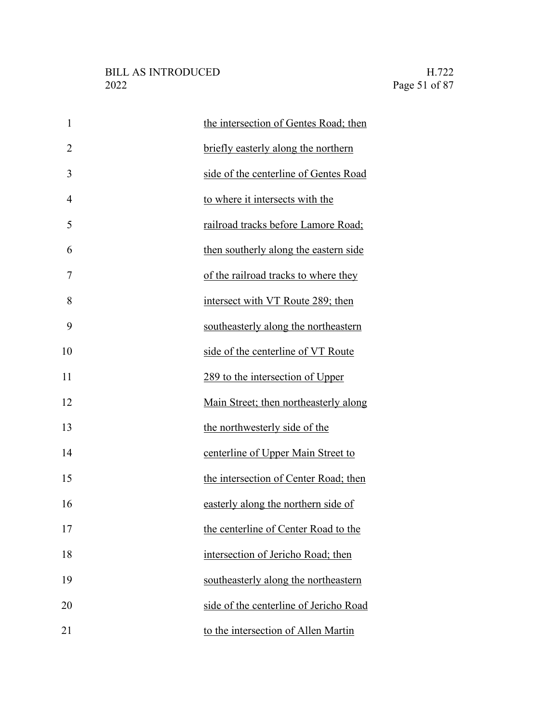| $\mathbf{1}$   | the intersection of Gentes Road; then  |
|----------------|----------------------------------------|
| $\overline{2}$ | briefly easterly along the northern    |
| 3              | side of the centerline of Gentes Road  |
| 4              | to where it intersects with the        |
| 5              | railroad tracks before Lamore Road;    |
| 6              | then southerly along the eastern side  |
| 7              | of the railroad tracks to where they   |
| 8              | intersect with VT Route 289; then      |
| 9              | southeasterly along the northeastern   |
| 10             | side of the centerline of VT Route     |
| 11             | 289 to the intersection of Upper       |
| 12             | Main Street; then northeasterly along  |
| 13             | the northwesterly side of the          |
| 14             | centerline of Upper Main Street to     |
| 15             | the intersection of Center Road; then  |
| 16             | easterly along the northern side of    |
| 17             | the centerline of Center Road to the   |
| 18             | intersection of Jericho Road; then     |
| 19             | southeasterly along the northeastern   |
| 20             | side of the centerline of Jericho Road |
| 21             | to the intersection of Allen Martin    |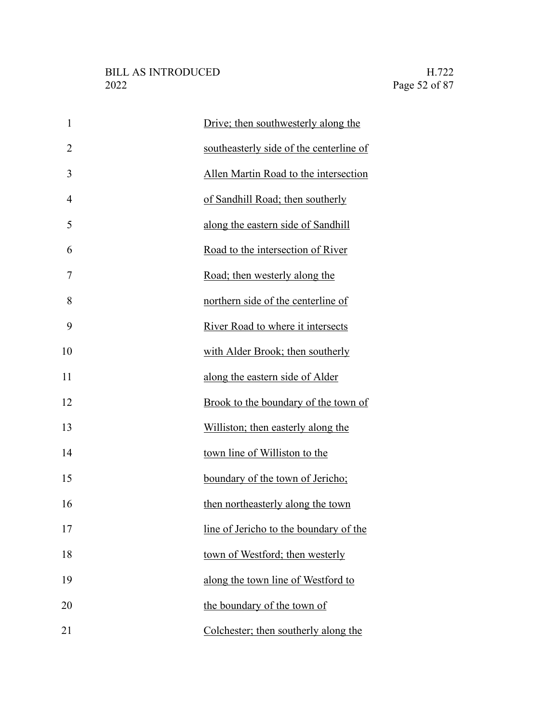| $\mathbf{1}$   | Drive; then southwesterly along the     |
|----------------|-----------------------------------------|
| $\overline{2}$ | southeasterly side of the centerline of |
| 3              | Allen Martin Road to the intersection   |
| $\overline{4}$ | of Sandhill Road; then southerly        |
| 5              | along the eastern side of Sandhill      |
| 6              | Road to the intersection of River       |
| 7              | Road; then westerly along the           |
| 8              | northern side of the centerline of      |
| 9              | River Road to where it intersects       |
| 10             | with Alder Brook; then southerly        |
| 11             | along the eastern side of Alder         |
| 12             | Brook to the boundary of the town of    |
| 13             | Williston; then easterly along the      |
| 14             | town line of Williston to the           |
| 15             | boundary of the town of Jericho;        |
| 16             | then northeasterly along the town       |
| 17             | line of Jericho to the boundary of the  |
| 18             | town of Westford; then westerly         |
| 19             | along the town line of Westford to      |
| 20             | the boundary of the town of             |
| 21             | Colchester; then southerly along the    |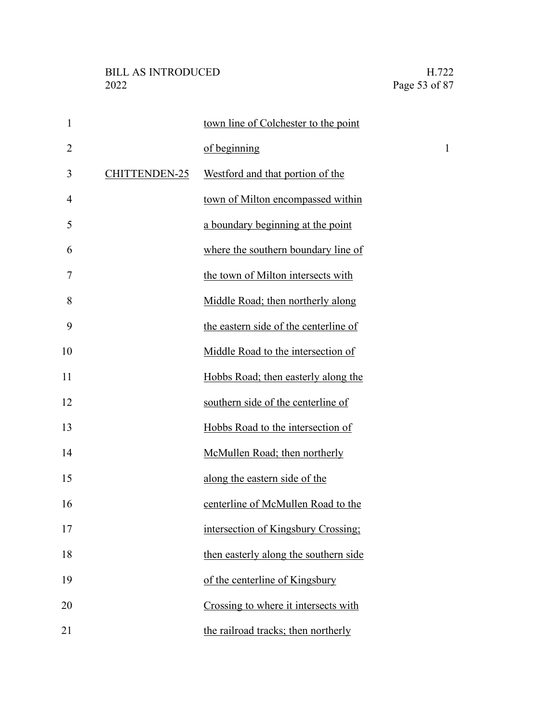| $\mathbf{1}$   |               | town line of Colchester to the point  |              |
|----------------|---------------|---------------------------------------|--------------|
| $\overline{2}$ |               | of beginning                          | $\mathbf{1}$ |
| 3              | CHITTENDEN-25 | Westford and that portion of the      |              |
| 4              |               | town of Milton encompassed within     |              |
| 5              |               | a boundary beginning at the point     |              |
| 6              |               | where the southern boundary line of   |              |
| 7              |               | the town of Milton intersects with    |              |
| 8              |               | Middle Road; then northerly along     |              |
| 9              |               | the eastern side of the centerline of |              |
| 10             |               | Middle Road to the intersection of    |              |
| 11             |               | Hobbs Road; then easterly along the   |              |
| 12             |               | southern side of the centerline of    |              |
| 13             |               | Hobbs Road to the intersection of     |              |
| 14             |               | McMullen Road; then northerly         |              |
| 15             |               | along the eastern side of the         |              |
| 16             |               | centerline of McMullen Road to the    |              |
| 17             |               | intersection of Kingsbury Crossing;   |              |
| 18             |               | then easterly along the southern side |              |
| 19             |               | of the centerline of Kingsbury        |              |
| 20             |               | Crossing to where it intersects with  |              |
| 21             |               | the railroad tracks; then northerly   |              |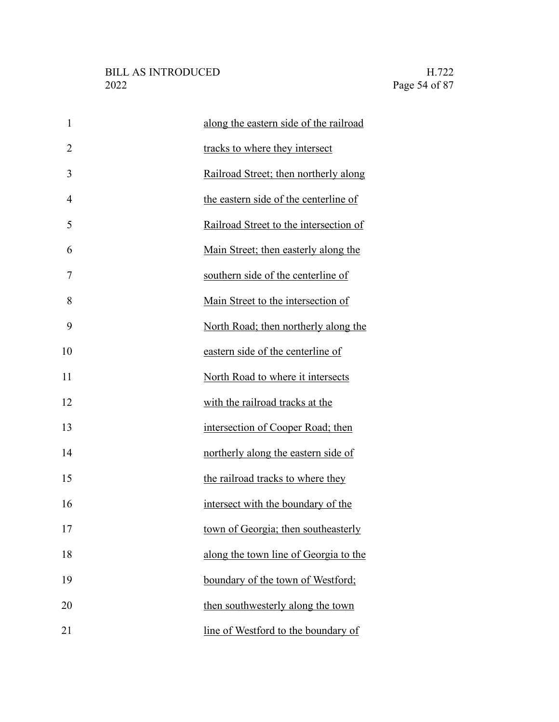| $\mathbf{1}$   | along the eastern side of the railroad |
|----------------|----------------------------------------|
| $\overline{2}$ | tracks to where they intersect         |
| 3              | Railroad Street; then northerly along  |
| $\overline{4}$ | the eastern side of the centerline of  |
| 5              | Railroad Street to the intersection of |
| 6              | Main Street; then easterly along the   |
| 7              | southern side of the centerline of     |
| 8              | Main Street to the intersection of     |
| 9              | North Road; then northerly along the   |
| 10             | eastern side of the centerline of      |
| 11             | North Road to where it intersects      |
| 12             | with the railroad tracks at the        |
| 13             | intersection of Cooper Road; then      |
| 14             | northerly along the eastern side of    |
| 15             | the railroad tracks to where they      |
| 16             | intersect with the boundary of the     |
| 17             | town of Georgia; then southeasterly    |
| 18             | along the town line of Georgia to the  |
| 19             | boundary of the town of Westford;      |
| 20             | then southwesterly along the town      |
| 21             | line of Westford to the boundary of    |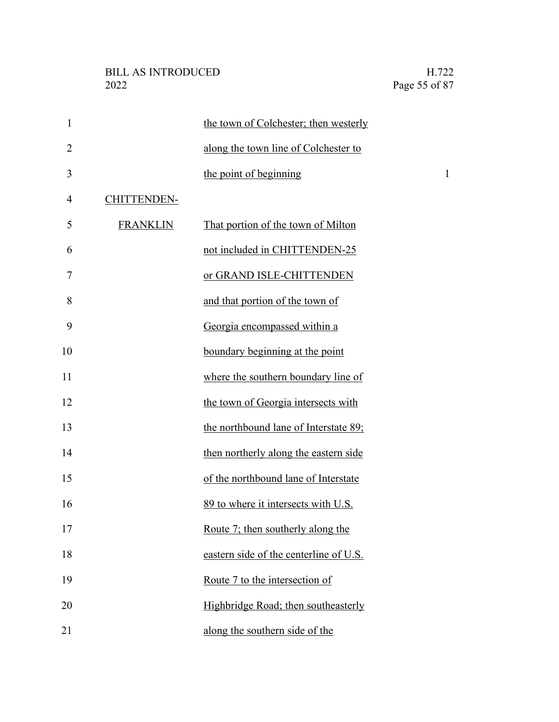| $\mathbf{1}$   |                    | the town of Colchester; then westerly  |              |
|----------------|--------------------|----------------------------------------|--------------|
| $\overline{2}$ |                    | along the town line of Colchester to   |              |
| 3              |                    | the point of beginning                 | $\mathbf{1}$ |
| 4              | <b>CHITTENDEN-</b> |                                        |              |
| 5              | <b>FRANKLIN</b>    | That portion of the town of Milton     |              |
| 6              |                    | not included in CHITTENDEN-25          |              |
| 7              |                    | or GRAND ISLE-CHITTENDEN               |              |
| 8              |                    | and that portion of the town of        |              |
| 9              |                    | Georgia encompassed within a           |              |
| 10             |                    | boundary beginning at the point        |              |
| 11             |                    | where the southern boundary line of    |              |
| 12             |                    | the town of Georgia intersects with    |              |
| 13             |                    | the northbound lane of Interstate 89;  |              |
| 14             |                    | then northerly along the eastern side  |              |
| 15             |                    | of the northbound lane of Interstate   |              |
| 16             |                    | 89 to where it intersects with U.S.    |              |
| 17             |                    | Route 7; then southerly along the      |              |
| 18             |                    | eastern side of the centerline of U.S. |              |
| 19             |                    | Route 7 to the intersection of         |              |
| 20             |                    | Highbridge Road; then southeasterly    |              |
| 21             |                    | along the southern side of the         |              |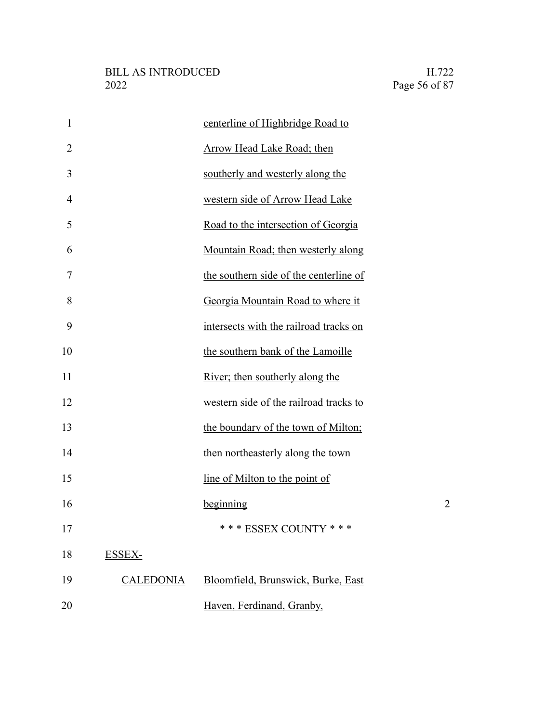| $\mathbf{1}$   |                  | centerline of Highbridge Road to       |                |
|----------------|------------------|----------------------------------------|----------------|
| $\overline{2}$ |                  | Arrow Head Lake Road; then             |                |
| 3              |                  | southerly and westerly along the       |                |
| 4              |                  | western side of Arrow Head Lake        |                |
| 5              |                  | Road to the intersection of Georgia    |                |
| 6              |                  | Mountain Road; then westerly along     |                |
| 7              |                  | the southern side of the centerline of |                |
| 8              |                  | Georgia Mountain Road to where it      |                |
| 9              |                  | intersects with the railroad tracks on |                |
| 10             |                  | the southern bank of the Lamoille      |                |
| 11             |                  | River; then southerly along the        |                |
| 12             |                  | western side of the railroad tracks to |                |
| 13             |                  | the boundary of the town of Milton;    |                |
| 14             |                  | then northeasterly along the town      |                |
| 15             |                  | line of Milton to the point of         |                |
| 16             |                  | beginning                              | $\overline{c}$ |
| 17             |                  | *** ESSEX COUNTY ***                   |                |
| 18             | <b>ESSEX-</b>    |                                        |                |
| 19             | <b>CALEDONIA</b> | Bloomfield, Brunswick, Burke, East     |                |
| 20             |                  | Haven, Ferdinand, Granby,              |                |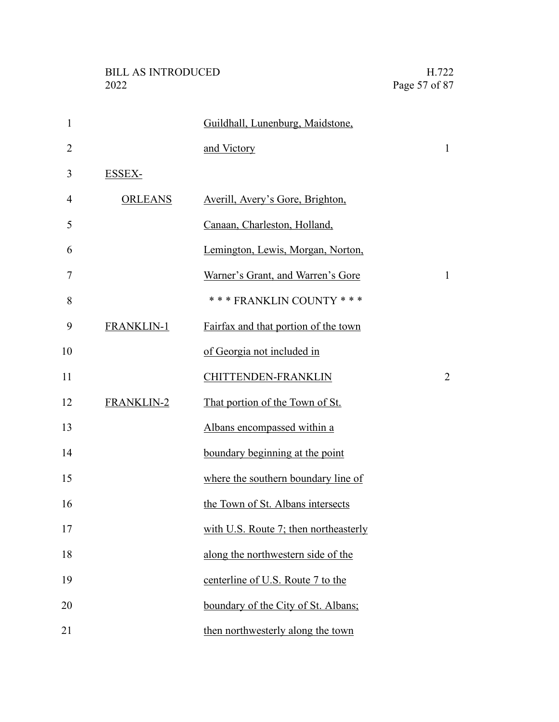| $\mathbf{1}$   |                   | Guildhall, Lunenburg, Maidstone,      |                |
|----------------|-------------------|---------------------------------------|----------------|
| $\overline{2}$ |                   | and Victory                           | $\mathbf{1}$   |
| 3              | ESSEX-            |                                       |                |
| 4              | <b>ORLEANS</b>    | Averill, Avery's Gore, Brighton,      |                |
| 5              |                   | Canaan, Charleston, Holland,          |                |
| 6              |                   | Lemington, Lewis, Morgan, Norton,     |                |
| 7              |                   | Warner's Grant, and Warren's Gore     | $\mathbf{1}$   |
| 8              |                   | *** FRANKLIN COUNTY ***               |                |
| 9              | <b>FRANKLIN-1</b> | Fairfax and that portion of the town  |                |
| 10             |                   | of Georgia not included in            |                |
| 11             |                   | CHITTENDEN-FRANKLIN                   | $\overline{2}$ |
| 12             | <b>FRANKLIN-2</b> | That portion of the Town of St.       |                |
| 13             |                   | Albans encompassed within a           |                |
| 14             |                   | boundary beginning at the point       |                |
| 15             |                   | where the southern boundary line of   |                |
| 16             |                   | the Town of St. Albans intersects     |                |
| 17             |                   | with U.S. Route 7; then northeasterly |                |
| 18             |                   | along the northwestern side of the    |                |
| 19             |                   | centerline of U.S. Route 7 to the     |                |
| 20             |                   | boundary of the City of St. Albans;   |                |
| 21             |                   | then northwesterly along the town     |                |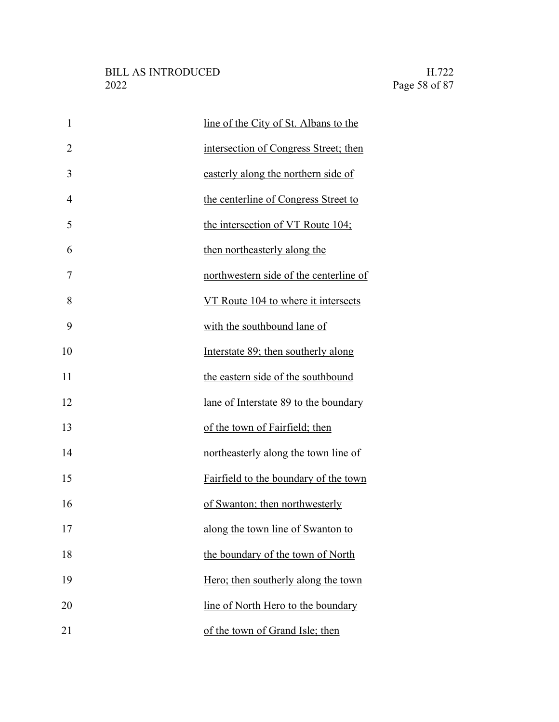| $\mathbf{1}$   | line of the City of St. Albans to the  |
|----------------|----------------------------------------|
| $\overline{2}$ | intersection of Congress Street; then  |
| 3              | easterly along the northern side of    |
| 4              | the centerline of Congress Street to   |
| 5              | the intersection of VT Route 104;      |
| 6              | then northeasterly along the           |
| 7              | northwestern side of the centerline of |
| 8              | VT Route 104 to where it intersects    |
| 9              | with the southbound lane of            |
| 10             | Interstate 89; then southerly along    |
| 11             | the eastern side of the southbound     |
| 12             | lane of Interstate 89 to the boundary  |
| 13             | of the town of Fairfield; then         |
| 14             | northeasterly along the town line of   |
| 15             | Fairfield to the boundary of the town  |
| 16             | of Swanton; then northwesterly         |
| 17             | along the town line of Swanton to      |
| 18             | the boundary of the town of North      |
| 19             | Hero; then southerly along the town    |
| 20             | line of North Hero to the boundary     |
| 21             | of the town of Grand Isle; then        |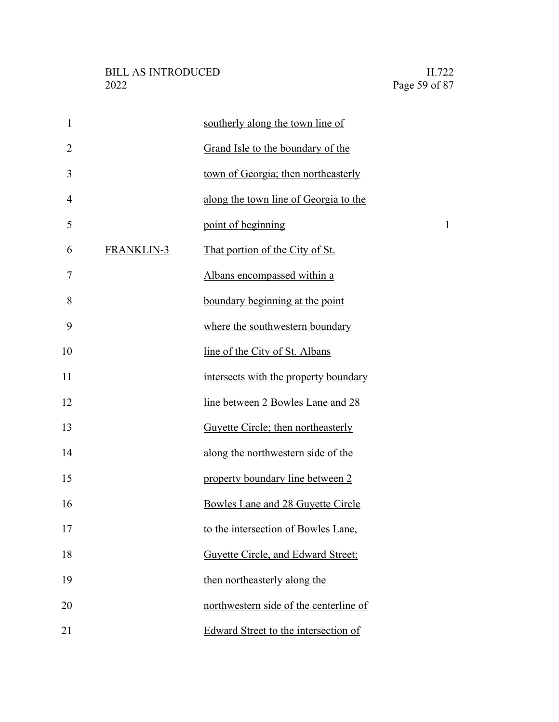| 1              |                   | southerly along the town line of       |
|----------------|-------------------|----------------------------------------|
| $\overline{2}$ |                   | Grand Isle to the boundary of the      |
| 3              |                   | town of Georgia; then northeasterly    |
| $\overline{4}$ |                   | along the town line of Georgia to the  |
| 5              |                   | point of beginning<br>$\mathbf{1}$     |
| 6              | <b>FRANKLIN-3</b> | That portion of the City of St.        |
| 7              |                   | Albans encompassed within a            |
| 8              |                   | boundary beginning at the point        |
| 9              |                   | where the southwestern boundary        |
| 10             |                   | line of the City of St. Albans         |
| 11             |                   | intersects with the property boundary  |
| 12             |                   | line between 2 Bowles Lane and 28      |
| 13             |                   | Guyette Circle; then northeasterly     |
| 14             |                   | along the northwestern side of the     |
| 15             |                   | property boundary line between 2       |
| 16             |                   | Bowles Lane and 28 Guyette Circle      |
| 17             |                   | to the intersection of Bowles Lane,    |
| 18             |                   | Guyette Circle, and Edward Street;     |
| 19             |                   | then northeasterly along the           |
| 20             |                   | northwestern side of the centerline of |
| 21             |                   | Edward Street to the intersection of   |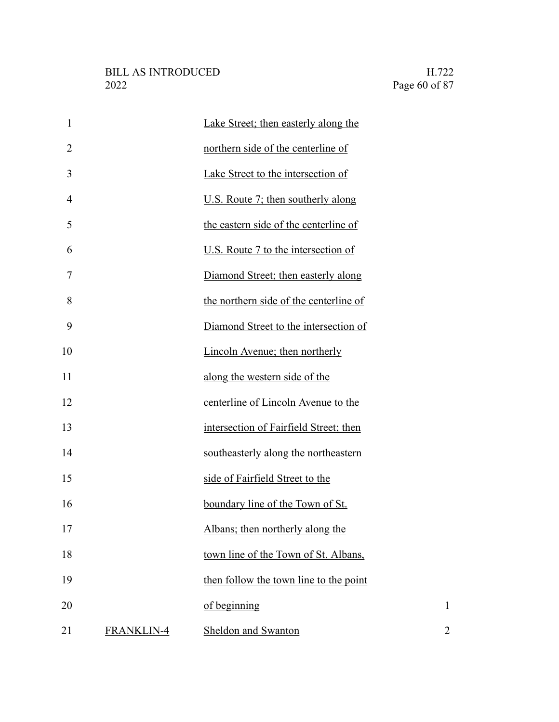| $\mathbf{1}$   |            | Lake Street; then easterly along the   |                |
|----------------|------------|----------------------------------------|----------------|
| $\overline{2}$ |            | northern side of the centerline of     |                |
| 3              |            | Lake Street to the intersection of     |                |
| $\overline{4}$ |            | U.S. Route 7; then southerly along     |                |
| 5              |            | the eastern side of the centerline of  |                |
| 6              |            | U.S. Route 7 to the intersection of    |                |
| $\overline{7}$ |            | Diamond Street; then easterly along    |                |
| 8              |            | the northern side of the centerline of |                |
| 9              |            | Diamond Street to the intersection of  |                |
| 10             |            | Lincoln Avenue; then northerly         |                |
| 11             |            | along the western side of the          |                |
| 12             |            | centerline of Lincoln Avenue to the    |                |
| 13             |            | intersection of Fairfield Street; then |                |
| 14             |            | southeasterly along the northeastern   |                |
| 15             |            | side of Fairfield Street to the        |                |
| 16             |            | boundary line of the Town of St.       |                |
| 17             |            | Albans; then northerly along the       |                |
| 18             |            | town line of the Town of St. Albans,   |                |
| 19             |            | then follow the town line to the point |                |
| 20             |            | of beginning                           | 1              |
| 21             | FRANKLIN-4 | Sheldon and Swanton                    | $\overline{2}$ |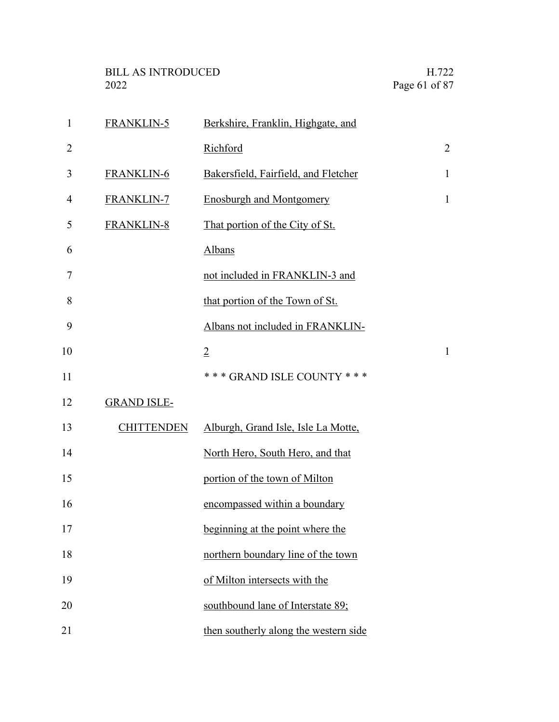| $\mathbf{1}$   | <b>FRANKLIN-5</b>  | Berkshire, Franklin, Highgate, and    |                |
|----------------|--------------------|---------------------------------------|----------------|
| $\overline{2}$ |                    | Richford                              | $\overline{2}$ |
| 3              | <b>FRANKLIN-6</b>  | Bakersfield, Fairfield, and Fletcher  | $\mathbf{1}$   |
| 4              | FRANKLIN-7         | <b>Enosburgh and Montgomery</b>       | $\mathbf{1}$   |
| 5              | FRANKLIN-8         | That portion of the City of St.       |                |
| 6              |                    | <b>Albans</b>                         |                |
| 7              |                    | not included in FRANKLIN-3 and        |                |
| 8              |                    | that portion of the Town of St.       |                |
| 9              |                    | Albans not included in FRANKLIN-      |                |
| 10             |                    | $\overline{2}$                        | $\mathbf{1}$   |
| 11             |                    | *** GRAND ISLE COUNTY ***             |                |
| 12             | <b>GRAND ISLE-</b> |                                       |                |
| 13             | <b>CHITTENDEN</b>  | Alburgh, Grand Isle, Isle La Motte,   |                |
| 14             |                    | North Hero, South Hero, and that      |                |
| 15             |                    | portion of the town of Milton         |                |
| 16             |                    | encompassed within a boundary         |                |
| 17             |                    | beginning at the point where the      |                |
| 18             |                    | northern boundary line of the town    |                |
| 19             |                    | of Milton intersects with the         |                |
| 20             |                    | southbound lane of Interstate 89;     |                |
| 21             |                    | then southerly along the western side |                |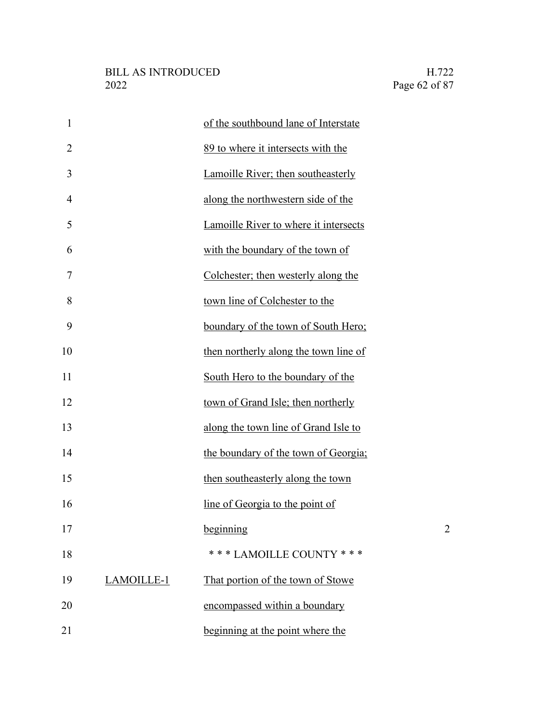| $\mathbf{1}$   |            | of the southbound lane of Interstate  |   |
|----------------|------------|---------------------------------------|---|
| $\overline{2}$ |            | 89 to where it intersects with the    |   |
| 3              |            | Lamoille River; then southeasterly    |   |
| $\overline{4}$ |            | along the northwestern side of the    |   |
| 5              |            | Lamoille River to where it intersects |   |
| 6              |            | with the boundary of the town of      |   |
| 7              |            | Colchester; then westerly along the   |   |
| 8              |            | town line of Colchester to the        |   |
| 9              |            | boundary of the town of South Hero;   |   |
| 10             |            | then northerly along the town line of |   |
| 11             |            | South Hero to the boundary of the     |   |
| 12             |            | town of Grand Isle; then northerly    |   |
| 13             |            | along the town line of Grand Isle to  |   |
| 14             |            | the boundary of the town of Georgia;  |   |
| 15             |            | then southeasterly along the town     |   |
| 16             |            | line of Georgia to the point of       |   |
| 17             |            | beginning                             | 2 |
| 18             |            | *** LAMOILLE COUNTY ***               |   |
| 19             | LAMOILLE-1 | That portion of the town of Stowe     |   |
| 20             |            | encompassed within a boundary         |   |
| 21             |            | beginning at the point where the      |   |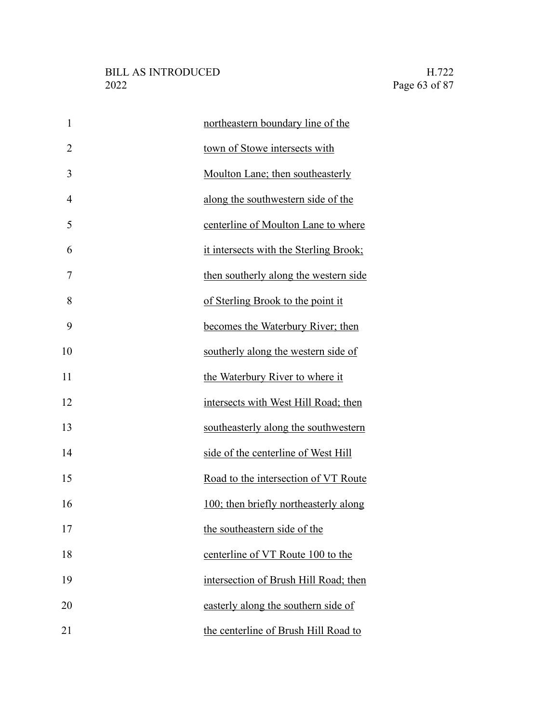| $\mathbf{1}$   | northeastern boundary line of the      |
|----------------|----------------------------------------|
| $\overline{2}$ | town of Stowe intersects with          |
| 3              | Moulton Lane; then southeasterly       |
| $\overline{4}$ | along the southwestern side of the     |
| 5              | centerline of Moulton Lane to where    |
| 6              | it intersects with the Sterling Brook; |
| 7              | then southerly along the western side  |
| 8              | of Sterling Brook to the point it      |
| 9              | becomes the Waterbury River; then      |
| 10             | southerly along the western side of    |
| 11             | the Waterbury River to where it        |
| 12             | intersects with West Hill Road; then   |
| 13             | southeasterly along the southwestern   |
| 14             | side of the centerline of West Hill    |
| 15             | Road to the intersection of VT Route   |
| 16             | 100; then briefly northeasterly along  |
| 17             | the southeastern side of the           |
| 18             | centerline of VT Route 100 to the      |
| 19             | intersection of Brush Hill Road; then  |
| 20             | easterly along the southern side of    |
| 21             | the centerline of Brush Hill Road to   |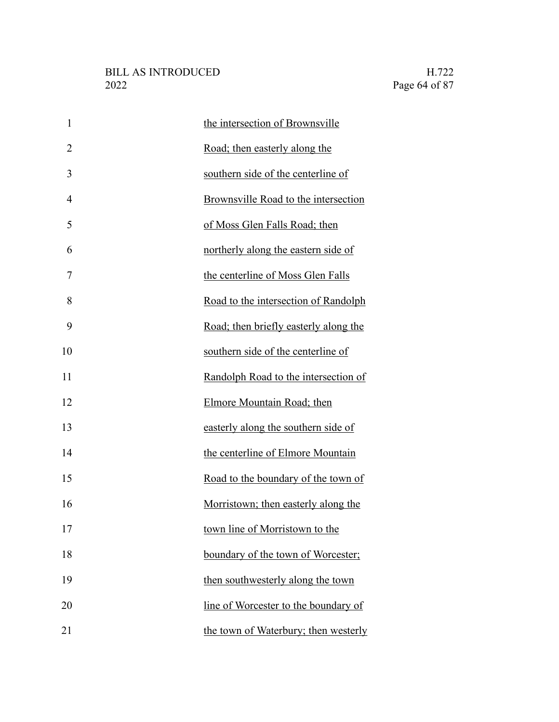| $\mathbf{1}$   | the intersection of Brownsville       |
|----------------|---------------------------------------|
| $\overline{2}$ | Road; then easterly along the         |
| 3              | southern side of the centerline of    |
| $\overline{4}$ | Brownsville Road to the intersection  |
| 5              | of Moss Glen Falls Road; then         |
| 6              | northerly along the eastern side of   |
| 7              | the centerline of Moss Glen Falls     |
| 8              | Road to the intersection of Randolph  |
| 9              | Road; then briefly easterly along the |
| 10             | southern side of the centerline of    |
| 11             | Randolph Road to the intersection of  |
| 12             | Elmore Mountain Road; then            |
| 13             | easterly along the southern side of   |
| 14             | the centerline of Elmore Mountain     |
| 15             | Road to the boundary of the town of   |
| 16             | Morristown; then easterly along the   |
| 17             | town line of Morristown to the        |
| 18             | boundary of the town of Worcester;    |
| 19             | then southwesterly along the town     |
| 20             | line of Worcester to the boundary of  |
| 21             | the town of Waterbury; then westerly  |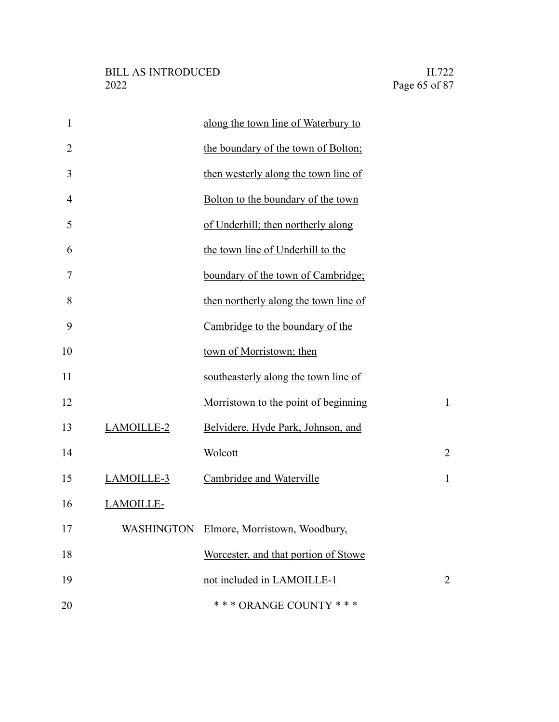| $\mathbf{1}$   |            | along the town line of Waterbury to      |                |
|----------------|------------|------------------------------------------|----------------|
| $\overline{2}$ |            | the boundary of the town of Bolton;      |                |
| 3              |            | then westerly along the town line of     |                |
| 4              |            | Bolton to the boundary of the town       |                |
| 5              |            | of Underhill; then northerly along       |                |
| 6              |            | the town line of Underhill to the        |                |
| $\overline{7}$ |            | boundary of the town of Cambridge;       |                |
| 8              |            | then northerly along the town line of    |                |
| 9              |            | Cambridge to the boundary of the         |                |
| 10             |            | town of Morristown; then                 |                |
| 11             |            | southeasterly along the town line of     |                |
| 12             |            | Morristown to the point of beginning     | $\mathbf{1}$   |
| 13             | LAMOILLE-2 | Belvidere, Hyde Park, Johnson, and       |                |
| 14             |            | Wolcott                                  | $\overline{2}$ |
| 15             | LAMOILLE-3 | Cambridge and Waterville                 | $\mathbf{1}$   |
| 16             | LAMOILLE-  |                                          |                |
| 17             |            | WASHINGTON Elmore, Morristown, Woodbury, |                |
| 18             |            | Worcester, and that portion of Stowe     |                |
| 19             |            | not included in LAMOILLE-1               | $\overline{2}$ |
| 20             |            | *** ORANGE COUNTY ***                    |                |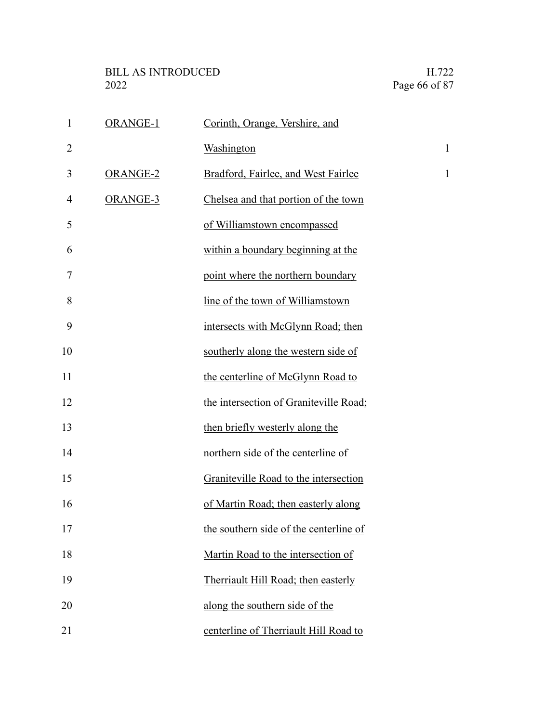| $\mathbf{1}$   | <b>ORANGE-1</b> | Corinth, Orange, Vershire, and         |              |
|----------------|-----------------|----------------------------------------|--------------|
| $\overline{2}$ |                 | Washington                             | $\mathbf{1}$ |
| 3              | ORANGE-2        | Bradford, Fairlee, and West Fairlee    | $\mathbf{1}$ |
| 4              | ORANGE-3        | Chelsea and that portion of the town   |              |
| 5              |                 | of Williamstown encompassed            |              |
| 6              |                 | within a boundary beginning at the     |              |
| 7              |                 | point where the northern boundary      |              |
| 8              |                 | line of the town of Williamstown       |              |
| 9              |                 | intersects with McGlynn Road; then     |              |
| 10             |                 | southerly along the western side of    |              |
| 11             |                 | the centerline of McGlynn Road to      |              |
| 12             |                 | the intersection of Graniteville Road; |              |
| 13             |                 | then briefly westerly along the        |              |
| 14             |                 | northern side of the centerline of     |              |
| 15             |                 | Graniteville Road to the intersection  |              |
| 16             |                 | of Martin Road; then easterly along    |              |
| 17             |                 | the southern side of the centerline of |              |
| 18             |                 | Martin Road to the intersection of     |              |
| 19             |                 | Therriault Hill Road; then easterly    |              |
| 20             |                 | along the southern side of the         |              |
| 21             |                 | centerline of Therriault Hill Road to  |              |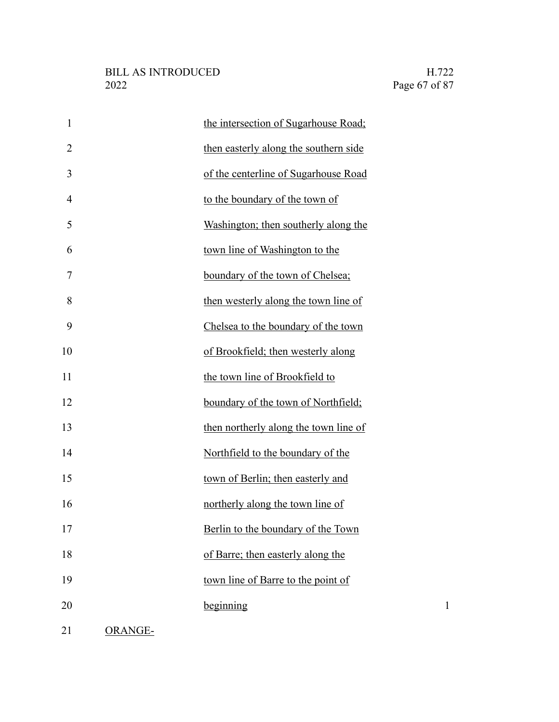| $\mathbf{1}$   | the intersection of Sugarhouse Road;  |              |
|----------------|---------------------------------------|--------------|
| $\overline{2}$ | then easterly along the southern side |              |
| 3              | of the centerline of Sugarhouse Road  |              |
| $\overline{4}$ | to the boundary of the town of        |              |
| 5              | Washington; then southerly along the  |              |
| 6              | town line of Washington to the        |              |
| 7              | boundary of the town of Chelsea;      |              |
| 8              | then westerly along the town line of  |              |
| 9              | Chelsea to the boundary of the town   |              |
| 10             | of Brookfield; then westerly along    |              |
| 11             | the town line of Brookfield to        |              |
| 12             | boundary of the town of Northfield;   |              |
| 13             | then northerly along the town line of |              |
| 14             | Northfield to the boundary of the     |              |
| 15             | town of Berlin; then easterly and     |              |
| 16             | northerly along the town line of      |              |
| 17             | Berlin to the boundary of the Town    |              |
| 18             | of Barre; then easterly along the     |              |
| 19             | town line of Barre to the point of    |              |
| 20             | beginning                             | $\mathbf{1}$ |
|                |                                       |              |

ORANGE-21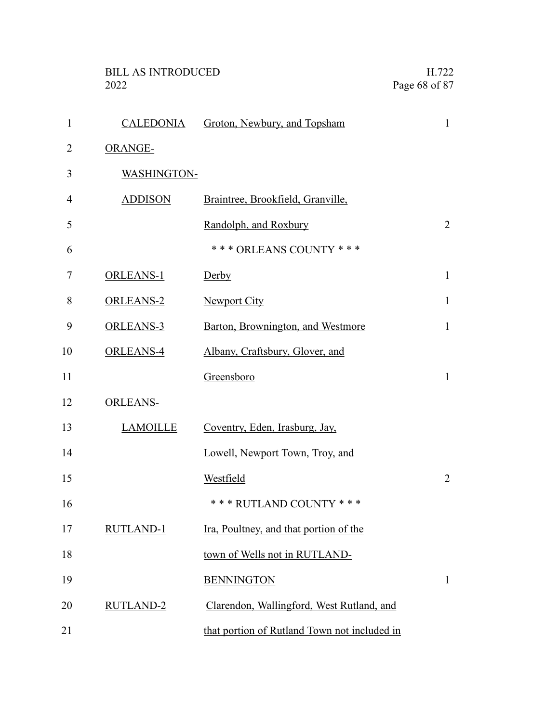| 1              | CALEDONIA          | Groton, Newbury, and Topsham                 | $\mathbf{1}$   |
|----------------|--------------------|----------------------------------------------|----------------|
| $\overline{2}$ | <b>ORANGE-</b>     |                                              |                |
| 3              | <b>WASHINGTON-</b> |                                              |                |
| $\overline{4}$ | <b>ADDISON</b>     | Braintree, Brookfield, Granville,            |                |
| 5              |                    | Randolph, and Roxbury                        | $\overline{2}$ |
| 6              |                    | *** ORLEANS COUNTY ***                       |                |
| 7              | <b>ORLEANS-1</b>   | Derby                                        | $\mathbf{1}$   |
| 8              | <b>ORLEANS-2</b>   | <b>Newport City</b>                          | $\mathbf{1}$   |
| 9              | ORLEANS-3          | Barton, Brownington, and Westmore            | $\mathbf{1}$   |
| 10             | <b>ORLEANS-4</b>   | Albany, Craftsbury, Glover, and              |                |
| 11             |                    | Greensboro                                   | $\mathbf{1}$   |
| 12             | <b>ORLEANS-</b>    |                                              |                |
| 13             | <b>LAMOILLE</b>    | Coventry, Eden, Irasburg, Jay,               |                |
| 14             |                    | Lowell, Newport Town, Troy, and              |                |
| 15             |                    | Westfield                                    | $\overline{2}$ |
| 16             |                    | *** RUTLAND COUNTY ***                       |                |
| 17             | RUTLAND-1          | Ira, Poultney, and that portion of the       |                |
| 18             |                    | town of Wells not in RUTLAND-                |                |
| 19             |                    | <b>BENNINGTON</b>                            | $\mathbf{1}$   |
| 20             | <b>RUTLAND-2</b>   | Clarendon, Wallingford, West Rutland, and    |                |
| 21             |                    | that portion of Rutland Town not included in |                |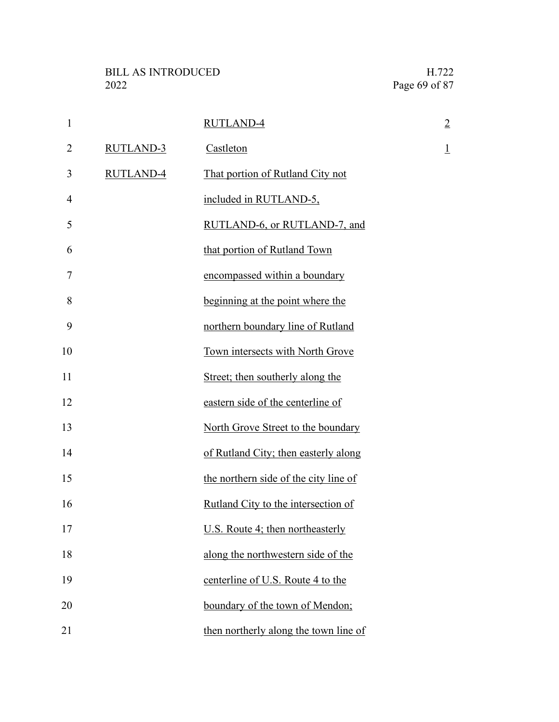| $\mathbf{1}$   |                  | <b>RUTLAND-4</b>                      | $\overline{2}$ |
|----------------|------------------|---------------------------------------|----------------|
| $\overline{2}$ | <b>RUTLAND-3</b> | Castleton                             | $\overline{1}$ |
| 3              | <b>RUTLAND-4</b> | That portion of Rutland City not      |                |
| $\overline{4}$ |                  | included in RUTLAND-5,                |                |
| 5              |                  | RUTLAND-6, or RUTLAND-7, and          |                |
| 6              |                  | that portion of Rutland Town          |                |
| 7              |                  | encompassed within a boundary         |                |
| 8              |                  | beginning at the point where the      |                |
| 9              |                  | northern boundary line of Rutland     |                |
| 10             |                  | Town intersects with North Grove      |                |
| 11             |                  | Street; then southerly along the      |                |
| 12             |                  | eastern side of the centerline of     |                |
| 13             |                  | North Grove Street to the boundary    |                |
| 14             |                  | of Rutland City; then easterly along  |                |
| 15             |                  | the northern side of the city line of |                |
| 16             |                  | Rutland City to the intersection of   |                |
| 17             |                  | U.S. Route 4; then northeasterly      |                |
| 18             |                  | along the northwestern side of the    |                |
| 19             |                  | centerline of U.S. Route 4 to the     |                |
| 20             |                  | boundary of the town of Mendon;       |                |
| 21             |                  | then northerly along the town line of |                |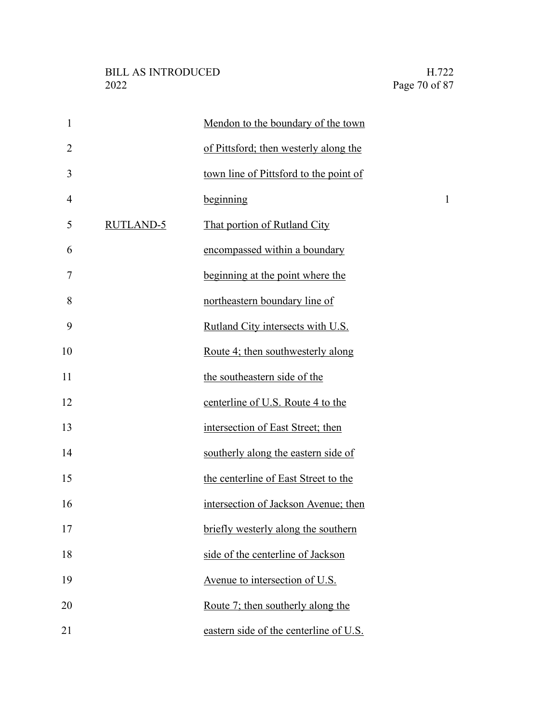| $\mathbf{1}$   |                  | Mendon to the boundary of the town     |              |
|----------------|------------------|----------------------------------------|--------------|
| $\overline{2}$ |                  | of Pittsford; then westerly along the  |              |
| 3              |                  | town line of Pittsford to the point of |              |
| 4              |                  | beginning                              | $\mathbf{1}$ |
| 5              | <b>RUTLAND-5</b> | That portion of Rutland City           |              |
| 6              |                  | encompassed within a boundary          |              |
| 7              |                  | beginning at the point where the       |              |
| 8              |                  | northeastern boundary line of          |              |
| 9              |                  | Rutland City intersects with U.S.      |              |
| 10             |                  | Route 4; then southwesterly along      |              |
| 11             |                  | the southeastern side of the           |              |
| 12             |                  | centerline of U.S. Route 4 to the      |              |
| 13             |                  | intersection of East Street; then      |              |
| 14             |                  | southerly along the eastern side of    |              |
| 15             |                  | the centerline of East Street to the   |              |
| 16             |                  | intersection of Jackson Avenue; then   |              |
| 17             |                  | briefly westerly along the southern    |              |
| 18             |                  | side of the centerline of Jackson      |              |
| 19             |                  | Avenue to intersection of U.S.         |              |
| 20             |                  | Route 7; then southerly along the      |              |
| 21             |                  | eastern side of the centerline of U.S. |              |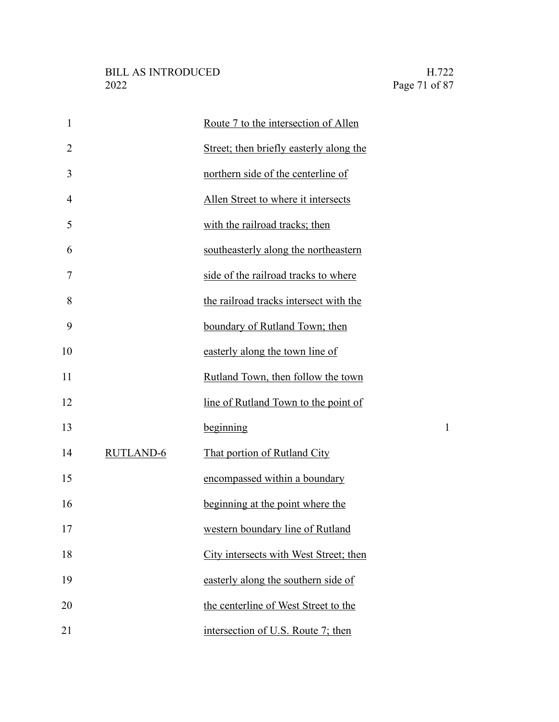| 1              |                  | Route 7 to the intersection of Allen    |              |
|----------------|------------------|-----------------------------------------|--------------|
| $\overline{2}$ |                  | Street; then briefly easterly along the |              |
| 3              |                  | northern side of the centerline of      |              |
| 4              |                  | Allen Street to where it intersects     |              |
| 5              |                  | with the railroad tracks; then          |              |
| 6              |                  | southeasterly along the northeastern    |              |
| 7              |                  | side of the railroad tracks to where    |              |
| 8              |                  | the railroad tracks intersect with the  |              |
| 9              |                  | boundary of Rutland Town; then          |              |
| 10             |                  | easterly along the town line of         |              |
| 11             |                  | Rutland Town, then follow the town      |              |
| 12             |                  | line of Rutland Town to the point of    |              |
| 13             |                  | beginning                               | $\mathbf{1}$ |
| 14             | <b>RUTLAND-6</b> | That portion of Rutland City            |              |
| 15             |                  | encompassed within a boundary           |              |
| 16             |                  | beginning at the point where the        |              |
|                |                  | western boundary line of Rutland        |              |
| 18             |                  | City intersects with West Street; then  |              |
| 19             |                  | easterly along the southern side of     |              |
| 20             |                  | the centerline of West Street to the    |              |
| 21             |                  | intersection of U.S. Route 7; then      |              |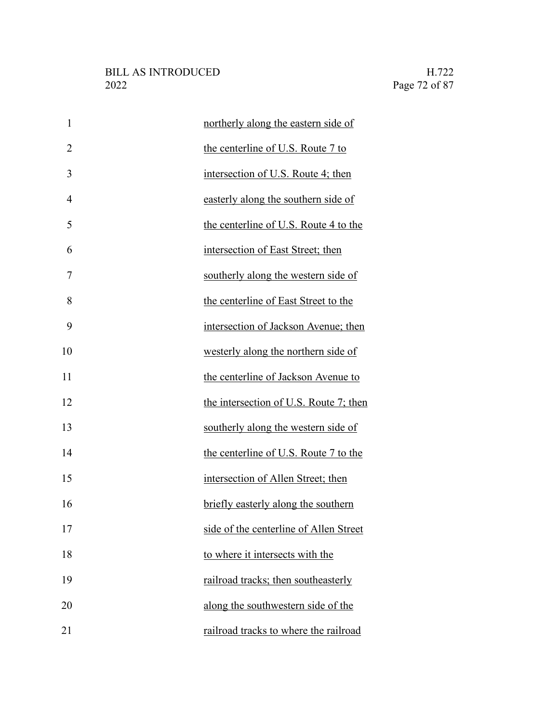| $\mathbf{1}$   | northerly along the eastern side of    |
|----------------|----------------------------------------|
| $\overline{2}$ | the centerline of U.S. Route 7 to      |
| 3              | intersection of U.S. Route 4; then     |
| $\overline{4}$ | easterly along the southern side of    |
| 5              | the centerline of U.S. Route 4 to the  |
| 6              | intersection of East Street; then      |
| 7              | southerly along the western side of    |
| 8              | the centerline of East Street to the   |
| 9              | intersection of Jackson Avenue; then   |
| 10             | westerly along the northern side of    |
| 11             | the centerline of Jackson Avenue to    |
| 12             | the intersection of U.S. Route 7; then |
| 13             | southerly along the western side of    |
| 14             | the centerline of U.S. Route 7 to the  |
| 15             | intersection of Allen Street; then     |
| 16             | briefly easterly along the southern    |
| 17             | side of the centerline of Allen Street |
| 18             | to where it intersects with the        |
| 19             | railroad tracks; then southeasterly    |
| 20             | along the southwestern side of the     |
| 21             | railroad tracks to where the railroad  |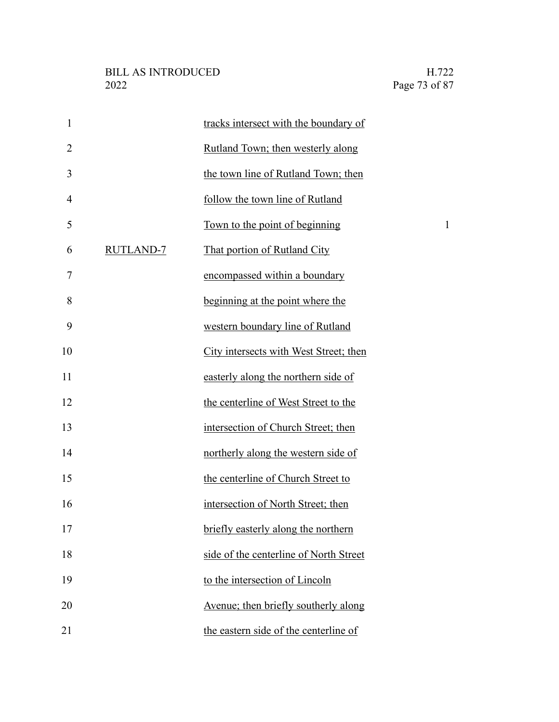| $\mathbf{1}$   |                  | tracks intersect with the boundary of  |              |
|----------------|------------------|----------------------------------------|--------------|
| $\overline{2}$ |                  | Rutland Town; then westerly along      |              |
| 3              |                  | the town line of Rutland Town; then    |              |
| 4              |                  | follow the town line of Rutland        |              |
| 5              |                  | Town to the point of beginning         | $\mathbf{1}$ |
| 6              | <b>RUTLAND-7</b> | That portion of Rutland City           |              |
| 7              |                  | encompassed within a boundary          |              |
| 8              |                  | beginning at the point where the       |              |
| 9              |                  | western boundary line of Rutland       |              |
| 10             |                  | City intersects with West Street; then |              |
| 11             |                  | easterly along the northern side of    |              |
| 12             |                  | the centerline of West Street to the   |              |
| 13             |                  | intersection of Church Street; then    |              |
| 14             |                  | northerly along the western side of    |              |
| 15             |                  | the centerline of Church Street to     |              |
| 16             |                  | intersection of North Street; then     |              |
| 17             |                  | briefly easterly along the northern    |              |
| 18             |                  | side of the centerline of North Street |              |
| 19             |                  | to the intersection of Lincoln         |              |
| 20             |                  | Avenue; then briefly southerly along   |              |
| 21             |                  | the eastern side of the centerline of  |              |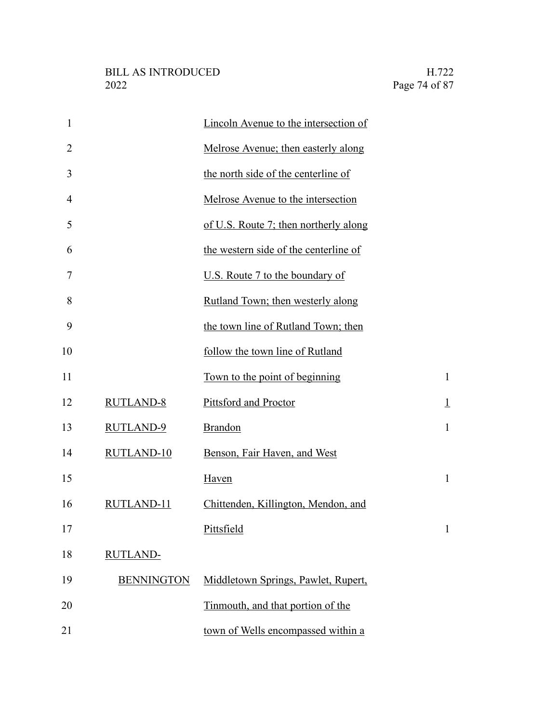| $\mathbf{1}$   |                   | Lincoln Avenue to the intersection of |                |
|----------------|-------------------|---------------------------------------|----------------|
| $\overline{2}$ |                   | Melrose Avenue; then easterly along   |                |
| 3              |                   | the north side of the centerline of   |                |
| 4              |                   | Melrose Avenue to the intersection    |                |
| 5              |                   | of U.S. Route 7; then northerly along |                |
| 6              |                   | the western side of the centerline of |                |
| 7              |                   | U.S. Route 7 to the boundary of       |                |
| 8              |                   | Rutland Town; then westerly along     |                |
| 9              |                   | the town line of Rutland Town; then   |                |
| 10             |                   | follow the town line of Rutland       |                |
| 11             |                   | Town to the point of beginning        | $\mathbf{1}$   |
| 12             | <b>RUTLAND-8</b>  | Pittsford and Proctor                 | $\overline{1}$ |
| 13             | <b>RUTLAND-9</b>  | <b>Brandon</b>                        | $\mathbf{1}$   |
| 14             | RUTLAND-10        | Benson, Fair Haven, and West          |                |
| 15             |                   | Haven                                 | $\mathbf{1}$   |
| 16             | RUTLAND-11        | Chittenden, Killington, Mendon, and   |                |
| 17             |                   | Pittsfield                            | 1              |
| 18             | <b>RUTLAND-</b>   |                                       |                |
| 19             | <b>BENNINGTON</b> | Middletown Springs, Pawlet, Rupert,   |                |
| 20             |                   | Tinmouth, and that portion of the     |                |
| 21             |                   | town of Wells encompassed within a    |                |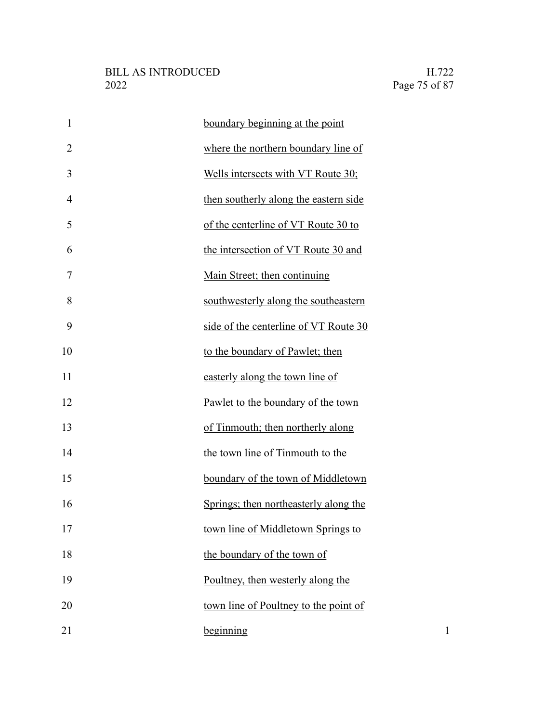| $\mathbf{1}$   | boundary beginning at the point       |   |
|----------------|---------------------------------------|---|
| $\overline{2}$ | where the northern boundary line of   |   |
| 3              | Wells intersects with VT Route 30;    |   |
| $\overline{4}$ | then southerly along the eastern side |   |
| 5              | of the centerline of VT Route 30 to   |   |
| 6              | the intersection of VT Route 30 and   |   |
| 7              | Main Street; then continuing          |   |
| 8              | southwesterly along the southeastern  |   |
| 9              | side of the centerline of VT Route 30 |   |
| 10             | to the boundary of Pawlet; then       |   |
| 11             | easterly along the town line of       |   |
| 12             | Pawlet to the boundary of the town    |   |
| 13             | of Tinmouth; then northerly along     |   |
| 14             | the town line of Tinmouth to the      |   |
| 15             | boundary of the town of Middletown    |   |
| 16             | Springs; then northeasterly along the |   |
| 17             | town line of Middletown Springs to    |   |
| 18             | the boundary of the town of           |   |
| 19             | Poultney, then westerly along the     |   |
| 20             | town line of Poultney to the point of |   |
| 21             | beginning                             | 1 |
|                |                                       |   |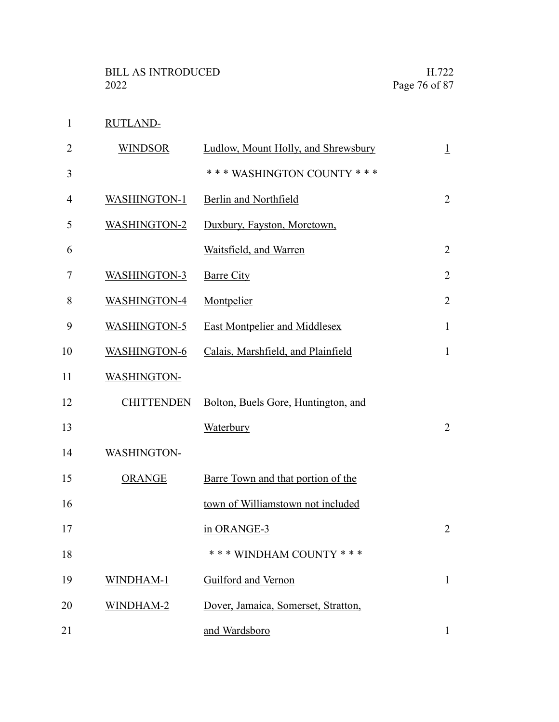RUTLAND-1

| $\overline{2}$ | <b>WINDSOR</b>      | Ludlow, Mount Holly, and Shrewsbury | $\perp$        |
|----------------|---------------------|-------------------------------------|----------------|
| 3              |                     | *** WASHINGTON COUNTY ***           |                |
| 4              | WASHINGTON-1        | Berlin and Northfield               | $\overline{2}$ |
| 5              | <b>WASHINGTON-2</b> | Duxbury, Fayston, Moretown,         |                |
| 6              |                     | Waitsfield, and Warren              | $\overline{2}$ |
| 7              | <b>WASHINGTON-3</b> | <b>Barre City</b>                   | $\overline{2}$ |
| 8              | <b>WASHINGTON-4</b> | Montpelier                          | $\overline{2}$ |
| 9              | <b>WASHINGTON-5</b> | East Montpelier and Middlesex       | $\mathbf{1}$   |
| 10             | <b>WASHINGTON-6</b> | Calais, Marshfield, and Plainfield  | $\mathbf{1}$   |
| 11             | WASHINGTON-         |                                     |                |
|                |                     |                                     |                |
| 12             | <b>CHITTENDEN</b>   | Bolton, Buels Gore, Huntington, and |                |
| 13             |                     | Waterbury                           | $\overline{2}$ |
| 14             | <b>WASHINGTON-</b>  |                                     |                |
| 15             | <b>ORANGE</b>       | Barre Town and that portion of the  |                |
| 16             |                     | town of Williamstown not included   |                |
| 17             |                     | in ORANGE-3                         | $\overline{2}$ |
| 18             |                     | *** WINDHAM COUNTY ***              |                |
| 19             | WINDHAM-1           | Guilford and Vernon                 | $\mathbf{1}$   |
| 20             | WINDHAM-2           | Dover, Jamaica, Somerset, Stratton, |                |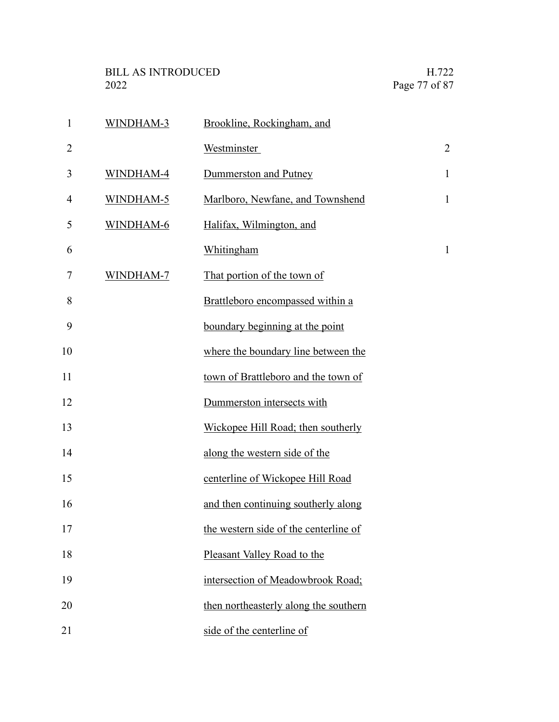| $\mathbf{1}$   | WINDHAM-3 | Brookline, Rockingham, and            |                |
|----------------|-----------|---------------------------------------|----------------|
| $\overline{2}$ |           | Westminster                           | $\overline{c}$ |
| 3              | WINDHAM-4 | Dummerston and Putney                 | $\mathbf{1}$   |
| $\overline{4}$ | WINDHAM-5 | Marlboro, Newfane, and Townshend      | $\mathbf{1}$   |
| 5              | WINDHAM-6 | Halifax, Wilmington, and              |                |
| 6              |           | Whitingham                            | $\mathbf{1}$   |
| 7              | WINDHAM-7 | That portion of the town of           |                |
| 8              |           | Brattleboro encompassed within a      |                |
| 9              |           | boundary beginning at the point       |                |
| 10             |           | where the boundary line between the   |                |
| 11             |           | town of Brattleboro and the town of   |                |
| 12             |           | Dummerston intersects with            |                |
| 13             |           | Wickopee Hill Road; then southerly    |                |
| 14             |           | along the western side of the         |                |
| 15             |           | centerline of Wickopee Hill Road      |                |
| 16             |           | and then continuing southerly along   |                |
| 17             |           | the western side of the centerline of |                |
| 18             |           | Pleasant Valley Road to the           |                |
| 19             |           | intersection of Meadowbrook Road;     |                |
| 20             |           | then northeasterly along the southern |                |
| 21             |           | side of the centerline of             |                |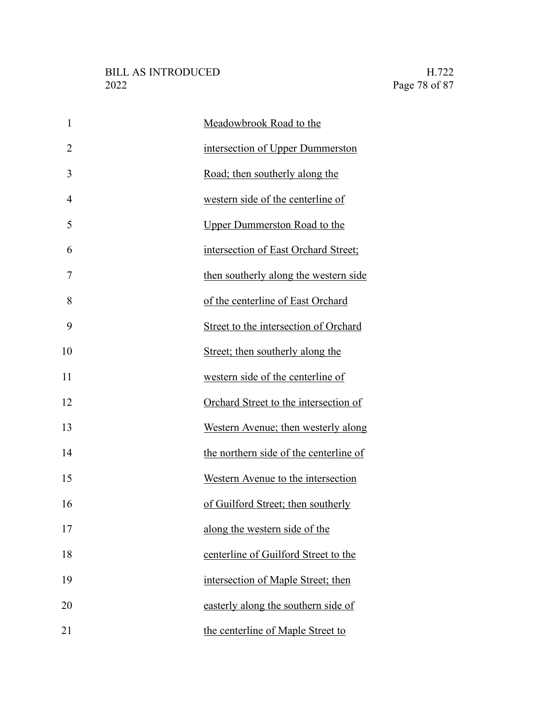| $\mathbf{1}$   | Meadowbrook Road to the                |
|----------------|----------------------------------------|
| $\overline{2}$ | intersection of Upper Dummerston       |
| 3              | Road; then southerly along the         |
| 4              | western side of the centerline of      |
| 5              | <b>Upper Dummerston Road to the</b>    |
| 6              | intersection of East Orchard Street;   |
| 7              | then southerly along the western side  |
| 8              | of the centerline of East Orchard      |
| 9              | Street to the intersection of Orchard  |
| 10             | Street; then southerly along the       |
| 11             | western side of the centerline of      |
| 12             | Orchard Street to the intersection of  |
| 13             | Western Avenue; then westerly along    |
| 14             | the northern side of the centerline of |
| 15             | Western Avenue to the intersection     |
| 16             | of Guilford Street; then southerly     |
| 17             | along the western side of the          |
| 18             | centerline of Guilford Street to the   |
| 19             | intersection of Maple Street; then     |
| 20             | easterly along the southern side of    |
| 21             | the centerline of Maple Street to      |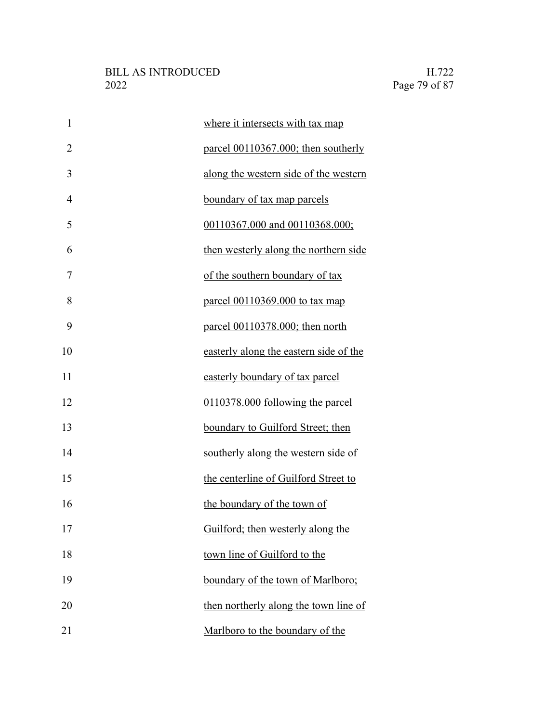| $\mathbf{1}$   | where it intersects with tax map       |
|----------------|----------------------------------------|
| $\overline{2}$ | parcel 00110367.000; then southerly    |
| 3              | along the western side of the western  |
| 4              | boundary of tax map parcels            |
| 5              | 00110367.000 and 00110368.000;         |
| 6              | then westerly along the northern side  |
| 7              | of the southern boundary of tax        |
| 8              | parcel 00110369.000 to tax map         |
| 9              | parcel 00110378.000; then north        |
| 10             | easterly along the eastern side of the |
| 11             | easterly boundary of tax parcel        |
| 12             | 0110378.000 following the parcel       |
| 13             | boundary to Guilford Street; then      |
| 14             | southerly along the western side of    |
| 15             | the centerline of Guilford Street to   |
| 16             | the boundary of the town of            |
| 17             | Guilford; then westerly along the      |
| 18             | town line of Guilford to the           |
| 19             | boundary of the town of Marlboro;      |
| 20             | then northerly along the town line of  |
| 21             | Marlboro to the boundary of the        |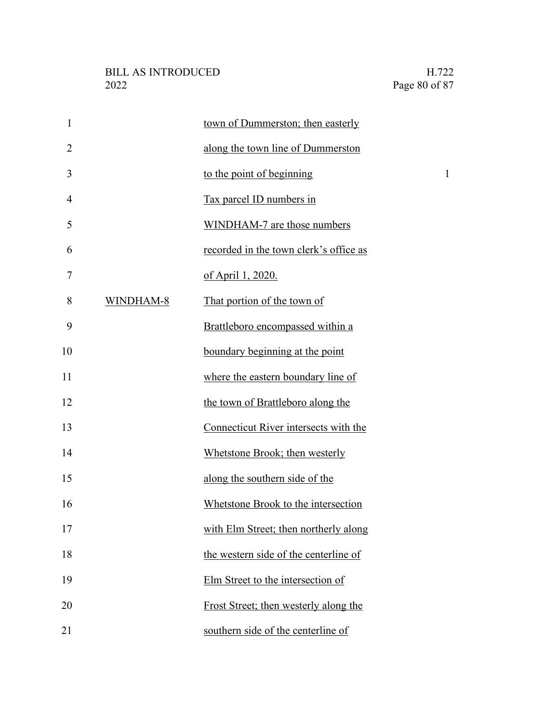| $\mathbf{1}$   |           | town of Dummerston; then easterly      |              |
|----------------|-----------|----------------------------------------|--------------|
| $\overline{2}$ |           | along the town line of Dummerston      |              |
| 3              |           | to the point of beginning              | $\mathbf{1}$ |
| 4              |           | Tax parcel ID numbers in               |              |
| 5              |           | WINDHAM-7 are those numbers            |              |
| 6              |           | recorded in the town clerk's office as |              |
| 7              |           | of April 1, 2020.                      |              |
| 8              | WINDHAM-8 | That portion of the town of            |              |
| 9              |           | Brattleboro encompassed within a       |              |
| 10             |           | boundary beginning at the point        |              |
| 11             |           | where the eastern boundary line of     |              |
| 12             |           | the town of Brattleboro along the      |              |
| 13             |           | Connecticut River intersects with the  |              |
| 14             |           | Whetstone Brook; then westerly         |              |
| 15             |           | along the southern side of the         |              |
| 16             |           | Whetstone Brook to the intersection    |              |
| 17             |           | with Elm Street; then northerly along  |              |
| 18             |           | the western side of the centerline of  |              |
| 19             |           | Elm Street to the intersection of      |              |
| 20             |           | Frost Street; then westerly along the  |              |
| 21             |           | southern side of the centerline of     |              |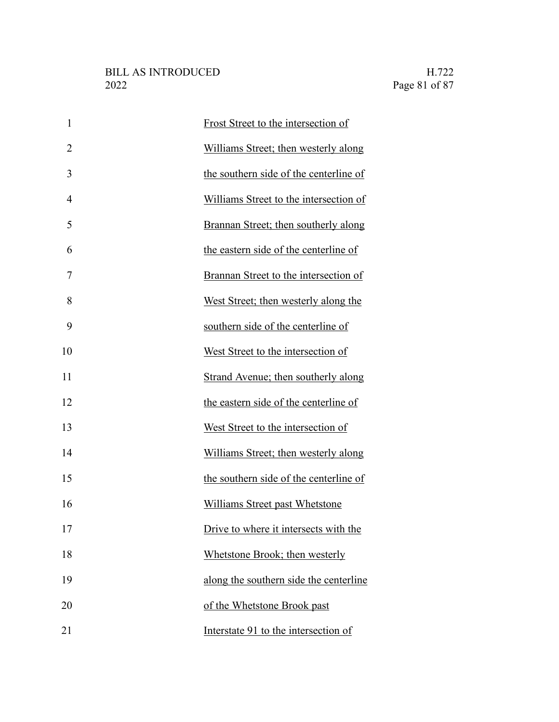| $\mathbf{1}$   | Frost Street to the intersection of    |
|----------------|----------------------------------------|
| $\overline{2}$ | Williams Street; then westerly along   |
| 3              | the southern side of the centerline of |
| $\overline{4}$ | Williams Street to the intersection of |
| 5              | Brannan Street; then southerly along   |
| 6              | the eastern side of the centerline of  |
| 7              | Brannan Street to the intersection of  |
| 8              | West Street; then westerly along the   |
| 9              | southern side of the centerline of     |
| 10             | West Street to the intersection of     |
| 11             | Strand Avenue; then southerly along    |
| 12             | the eastern side of the centerline of  |
| 13             | West Street to the intersection of     |
| 14             | Williams Street; then westerly along   |
| 15             | the southern side of the centerline of |
| 16             | Williams Street past Whetstone         |
| 17             | Drive to where it intersects with the  |
| 18             | Whetstone Brook; then westerly         |
| 19             | along the southern side the centerline |
| 20             | of the Whetstone Brook past            |
| 21             | Interstate 91 to the intersection of   |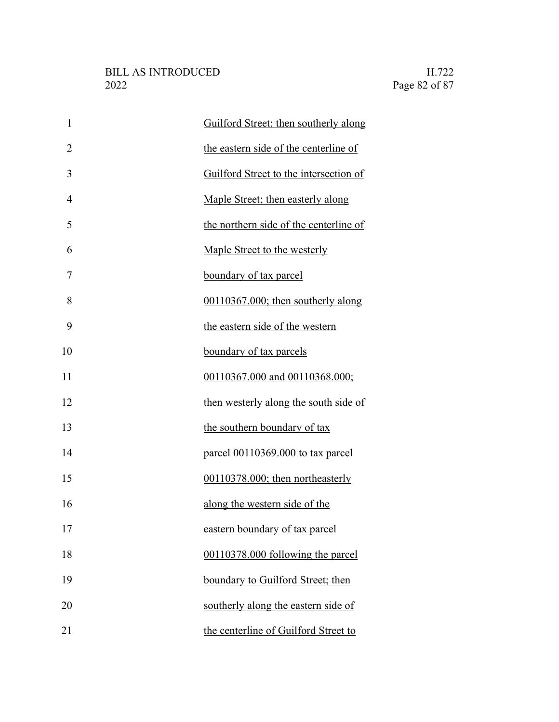| $\mathbf{1}$   | Guilford Street; then southerly along  |
|----------------|----------------------------------------|
| $\overline{2}$ | the eastern side of the centerline of  |
| 3              | Guilford Street to the intersection of |
| $\overline{4}$ | Maple Street; then easterly along      |
| 5              | the northern side of the centerline of |
| 6              | Maple Street to the westerly           |
| 7              | boundary of tax parcel                 |
| 8              | $00110367.000$ ; then southerly along  |
| 9              | the eastern side of the western        |
| 10             | boundary of tax parcels                |
| 11             | 00110367.000 and 00110368.000;         |
| 12             | then westerly along the south side of  |
| 13             | the southern boundary of tax           |
| 14             | parcel 00110369.000 to tax parcel      |
| 15             | 00110378.000; then northeasterly       |
| 16             | along the western side of the          |
| 17             | eastern boundary of tax parcel         |
| 18             | 00110378.000 following the parcel      |
| 19             | boundary to Guilford Street; then      |
| 20             | southerly along the eastern side of    |
| 21             | the centerline of Guilford Street to   |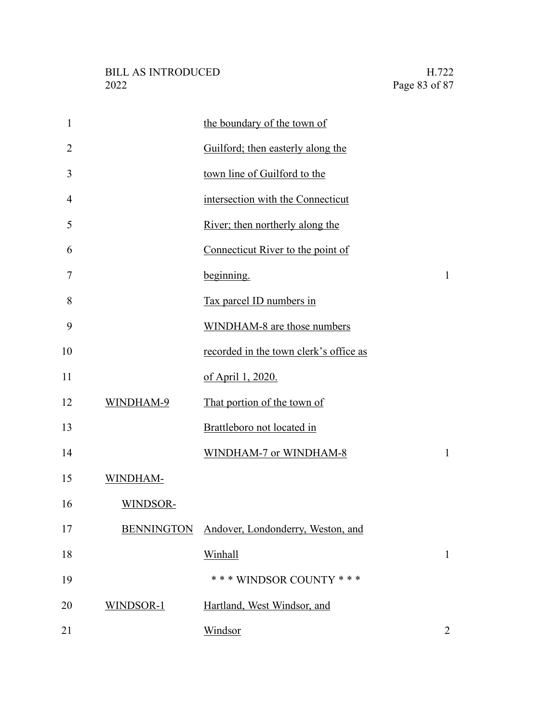| $\mathbf{1}$   |                   | the boundary of the town of            |                |
|----------------|-------------------|----------------------------------------|----------------|
| 2              |                   | Guilford; then easterly along the      |                |
| 3              |                   | town line of Guilford to the           |                |
| $\overline{4}$ |                   | intersection with the Connecticut      |                |
| 5              |                   | River; then northerly along the        |                |
| 6              |                   | Connecticut River to the point of      |                |
| 7              |                   | beginning.                             | 1              |
| 8              |                   | Tax parcel ID numbers in               |                |
| 9              |                   | WINDHAM-8 are those numbers            |                |
| 10             |                   | recorded in the town clerk's office as |                |
| 11             |                   | of April 1, 2020.                      |                |
| 12             | WINDHAM-9         | That portion of the town of            |                |
| 13             |                   | Brattleboro not located in             |                |
| 14             |                   | WINDHAM-7 or WINDHAM-8                 | $\mathbf{1}$   |
| 15             | WINDHAM-          |                                        |                |
| 16             | WINDSOR-          |                                        |                |
| 17             | <b>BENNINGTON</b> | Andover, Londonderry, Weston, and      |                |
| 18             |                   | Winhall                                | 1              |
| 19             |                   | *** WINDSOR COUNTY ***                 |                |
| 20             | WINDSOR-1         | Hartland, West Windsor, and            |                |
| 21             |                   | Windsor                                | $\overline{2}$ |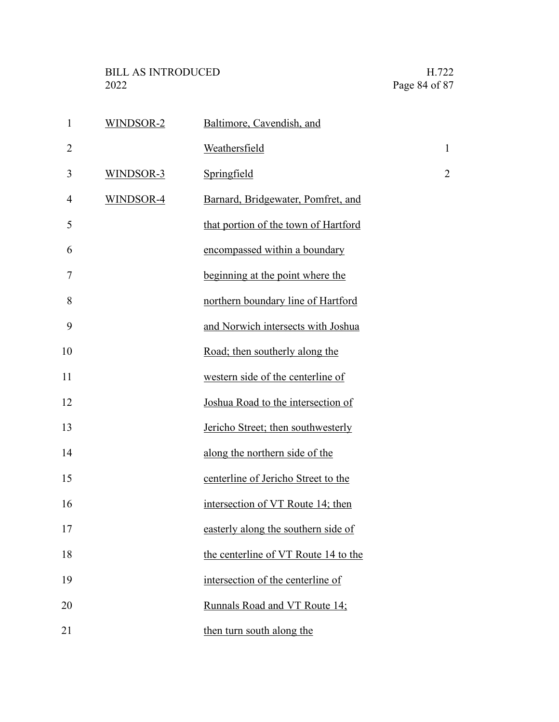| 1              | WINDSOR-2 | Baltimore, Cavendish, and            |                |
|----------------|-----------|--------------------------------------|----------------|
| $\overline{2}$ |           | Weathersfield                        | $\mathbf{1}$   |
| 3              | WINDSOR-3 | Springfield                          | $\overline{c}$ |
| $\overline{4}$ | WINDSOR-4 | Barnard, Bridgewater, Pomfret, and   |                |
| 5              |           | that portion of the town of Hartford |                |
| 6              |           | encompassed within a boundary        |                |
| 7              |           | beginning at the point where the     |                |
| 8              |           | northern boundary line of Hartford   |                |
| 9              |           | and Norwich intersects with Joshua   |                |
| 10             |           | Road; then southerly along the       |                |
| 11             |           | western side of the centerline of    |                |
| 12             |           | Joshua Road to the intersection of   |                |
| 13             |           | Jericho Street; then southwesterly   |                |
| 14             |           | along the northern side of the       |                |
| 15             |           | centerline of Jericho Street to the  |                |
| 16             |           | intersection of VT Route 14; then    |                |
| 17             |           | easterly along the southern side of  |                |
| 18             |           | the centerline of VT Route 14 to the |                |
| 19             |           | intersection of the centerline of    |                |
| 20             |           | Runnals Road and VT Route 14;        |                |
| 21             |           | then turn south along the            |                |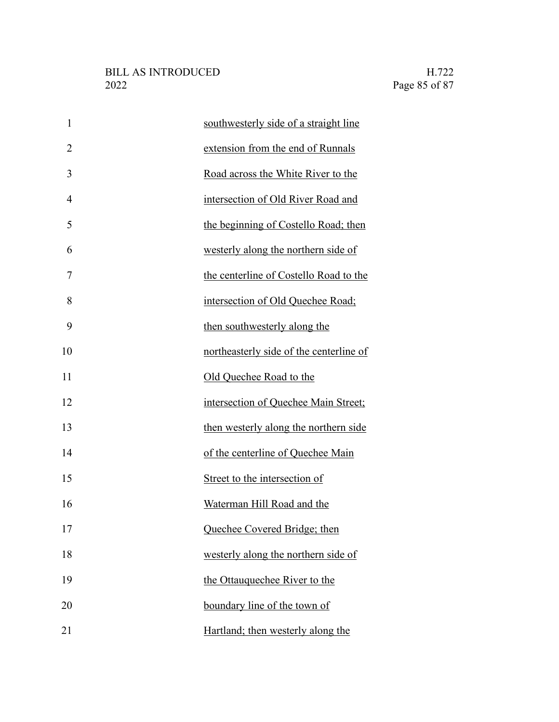| $\mathbf{1}$   | southwesterly side of a straight line   |
|----------------|-----------------------------------------|
| $\overline{2}$ | extension from the end of Runnals       |
| 3              | Road across the White River to the      |
| 4              | intersection of Old River Road and      |
| 5              | the beginning of Costello Road; then    |
| 6              | westerly along the northern side of     |
| 7              | the centerline of Costello Road to the  |
| 8              | intersection of Old Quechee Road;       |
| 9              | then southwesterly along the            |
| 10             | northeasterly side of the centerline of |
| 11             | Old Quechee Road to the                 |
| 12             | intersection of Quechee Main Street;    |
| 13             | then westerly along the northern side   |
| 14             | of the centerline of Quechee Main       |
| 15             | Street to the intersection of           |
| 16             | Waterman Hill Road and the              |
| 17             | Quechee Covered Bridge; then            |
| 18             | westerly along the northern side of     |
| 19             | the Ottauquechee River to the           |
| 20             | boundary line of the town of            |
| 21             | Hartland; then westerly along the       |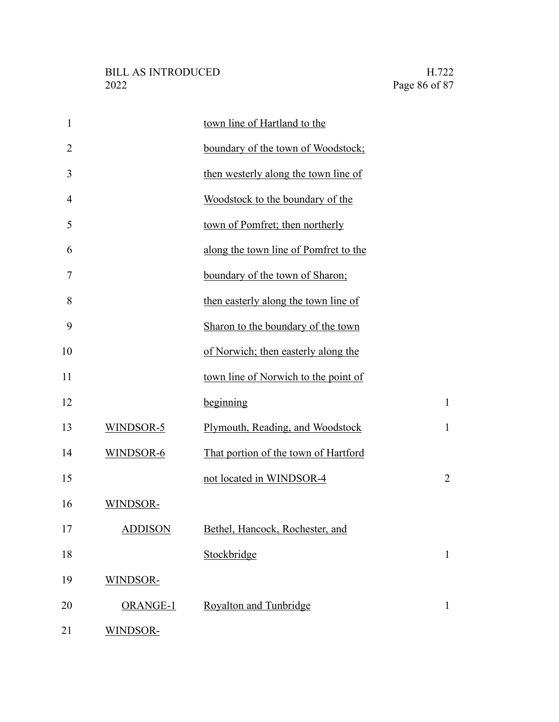| $\mathbf{1}$   |                | town line of Hartland to the          |                |
|----------------|----------------|---------------------------------------|----------------|
| $\overline{2}$ |                | boundary of the town of Woodstock;    |                |
| 3              |                | then westerly along the town line of  |                |
| 4              |                | Woodstock to the boundary of the      |                |
| 5              |                | town of Pomfret; then northerly       |                |
| 6              |                | along the town line of Pomfret to the |                |
| 7              |                | boundary of the town of Sharon;       |                |
| 8              |                | then easterly along the town line of  |                |
| 9              |                | Sharon to the boundary of the town    |                |
| 10             |                | of Norwich; then easterly along the   |                |
| 11             |                | town line of Norwich to the point of  |                |
| 12             |                | beginning                             | $\mathbf{1}$   |
| 13             | WINDSOR-5      | Plymouth, Reading, and Woodstock      | $\mathbf{1}$   |
| 14             | WINDSOR-6      | That portion of the town of Hartford  |                |
| 15             |                | not located in WINDSOR-4              | $\overline{2}$ |
| 16             | WINDSOR-       |                                       |                |
| 17             | <b>ADDISON</b> | Bethel, Hancock, Rochester, and       |                |
| 18             |                | Stockbridge                           | $\mathbf{1}$   |
| 19             | WINDSOR-       |                                       |                |
| 20             | ORANGE-1       | Royalton and Tunbridge                | $\mathbf{1}$   |
| 21             | WINDSOR-       |                                       |                |